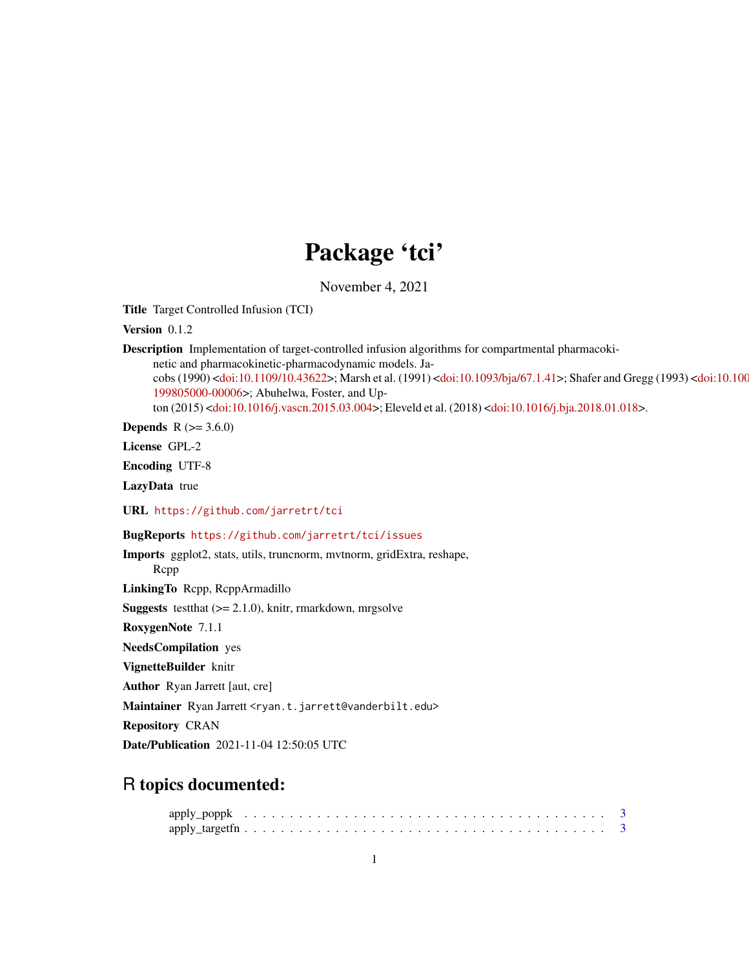# Package 'tci'

November 4, 2021

Title Target Controlled Infusion (TCI)

Version 0.1.2

Description Implementation of target-controlled infusion algorithms for compartmental pharmacokinetic and pharmacokinetic-pharmacodynamic models. Ja-cobs (1990) [<doi:10.1109/10.43622>](https://doi.org/10.1109/10.43622); Marsh et al. (1991) [<doi:10.1093/bja/67.1.41>](https://doi.org/10.1093/bja/67.1.41); Shafer and [Gregg \(1993\) <](https://doi.org/10.1097/00000542-199805000-00006)doi:10.100 [199805000-00006>](https://doi.org/10.1097/00000542-199805000-00006); Abuhelwa, Foster, and Upton (2015) [<doi:10.1016/j.vascn.2015.03.004>](https://doi.org/10.1016/j.vascn.2015.03.004); Eleveld et al. (2018) [<doi:10.1016/j.bja.2018.01.018>](https://doi.org/10.1016/j.bja.2018.01.018).

**Depends**  $R$  ( $> = 3.6.0$ )

License GPL-2

Encoding UTF-8

LazyData true

URL <https://github.com/jarretrt/tci>

BugReports <https://github.com/jarretrt/tci/issues>

Imports ggplot2, stats, utils, truncnorm, mvtnorm, gridExtra, reshape, Rcpp LinkingTo Rcpp, RcppArmadillo **Suggests** test that  $(>= 2.1.0)$ , knitr, rmarkdown, mrgsolve RoxygenNote 7.1.1 NeedsCompilation yes VignetteBuilder knitr Author Ryan Jarrett [aut, cre] Maintainer Ryan Jarrett <ryan.t.jarrett@vanderbilt.edu> Repository CRAN

Date/Publication 2021-11-04 12:50:05 UTC

# R topics documented: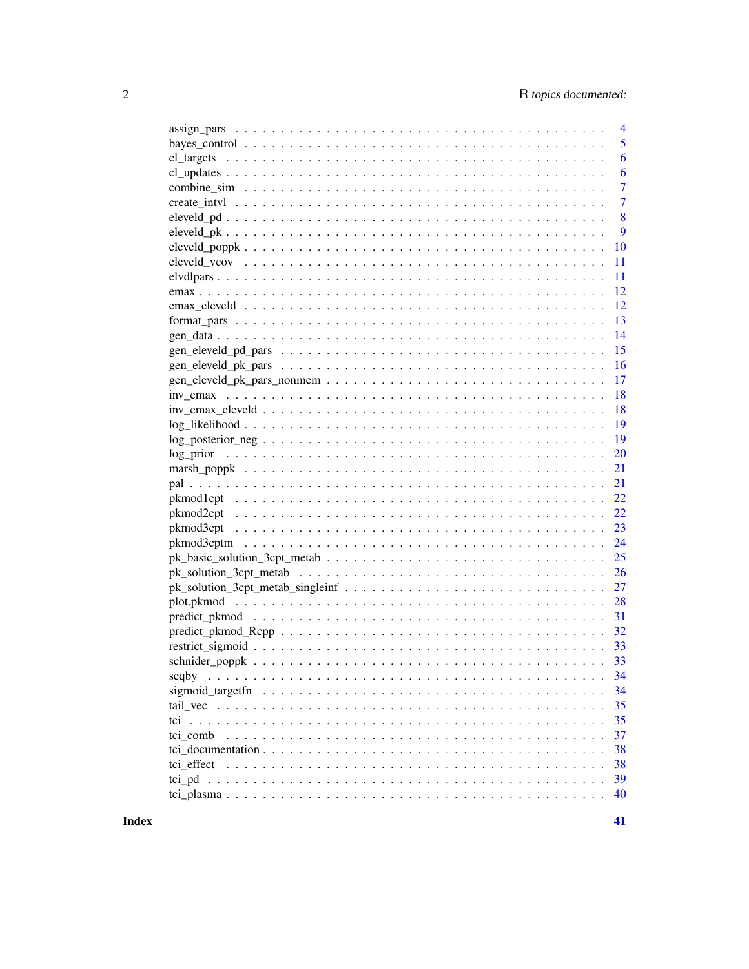|            | $\overline{4}$ |
|------------|----------------|
|            | 5              |
| cl targets | 6              |
|            | 6              |
|            | $\overline{7}$ |
|            | $\overline{7}$ |
|            | 8              |
|            | 9              |
|            | 10             |
|            | 11             |
|            | 11             |
|            | 12             |
|            | 12             |
|            | 13             |
|            | 14             |
|            | 15             |
|            | 16             |
|            | 17             |
|            | 18             |
|            | 18             |
|            | 19             |
|            | 19             |
|            | 20             |
|            | 21             |
|            | 21             |
|            | 22             |
|            | 22             |
|            | 23             |
|            | 24             |
|            | 25             |
|            | 26             |
|            |                |
|            | 28             |
|            |                |
|            |                |
|            |                |
|            |                |
|            | 34             |
|            | 34             |
|            | 35             |
|            | 35             |
|            |                |
|            | 37             |
|            | 38             |
|            | 38             |
|            | 39             |
|            | 40             |

**Index**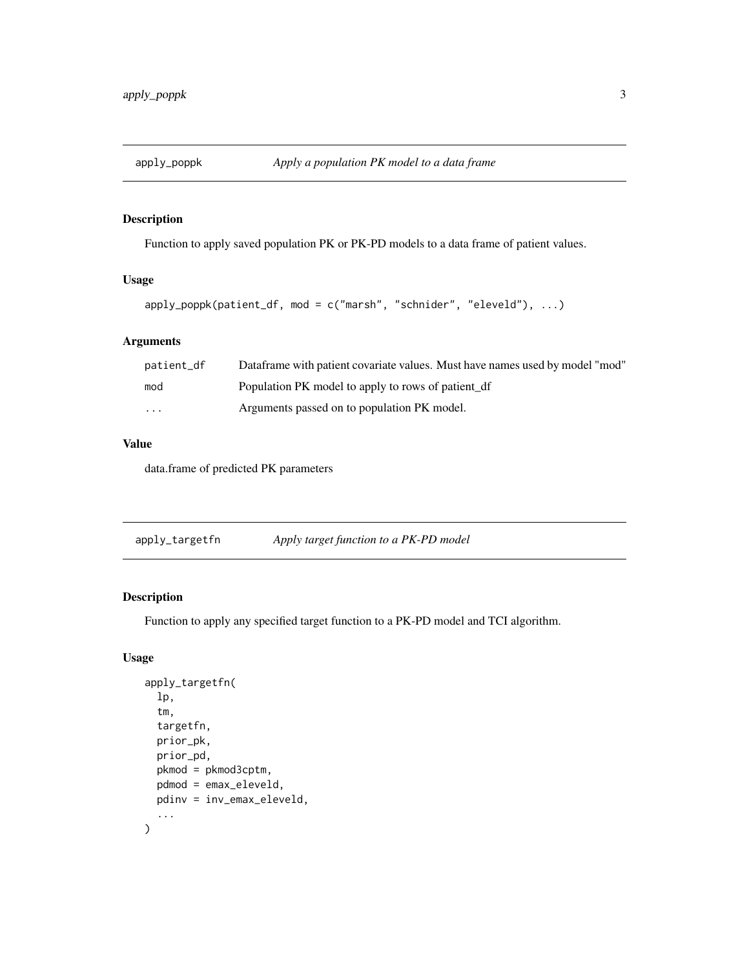<span id="page-2-0"></span>

Function to apply saved population PK or PK-PD models to a data frame of patient values.

## Usage

```
apply_poppk(patient_df, mod = c("marsh", "schnider", "eleveld"), ...)
```
# Arguments

| patient_df              | Dataframe with patient covariate values. Must have names used by model "mod" |
|-------------------------|------------------------------------------------------------------------------|
| mod                     | Population PK model to apply to rows of patient df                           |
| $\cdot$ $\cdot$ $\cdot$ | Arguments passed on to population PK model.                                  |

# Value

data.frame of predicted PK parameters

apply\_targetfn *Apply target function to a PK-PD model*

## Description

Function to apply any specified target function to a PK-PD model and TCI algorithm.

## Usage

```
apply_targetfn(
  lp,
  tm,
  targetfn,
  prior_pk,
  prior_pd,
  pkmod = pkmod3cptm,
  pdmod = emax_eleveld,
  pdinv = inv_emax_eleveld,
  ...
\mathcal{E}
```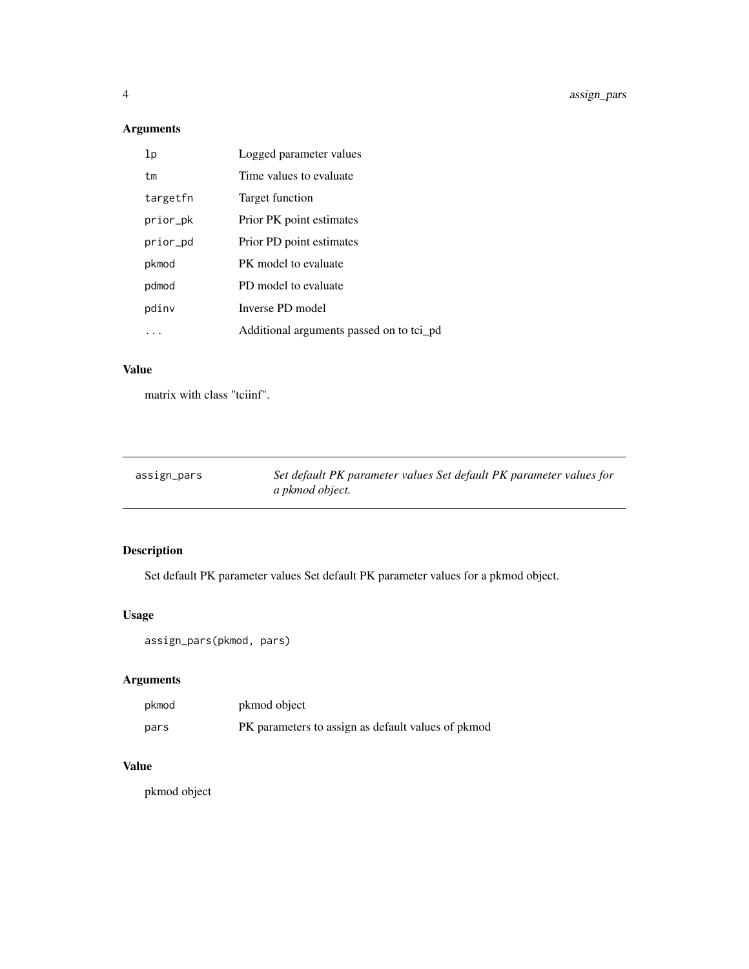# <span id="page-3-0"></span>Arguments

| lp       | Logged parameter values                  |
|----------|------------------------------------------|
| tm       | Time values to evaluate                  |
| targetfn | Target function                          |
| prior_pk | Prior PK point estimates                 |
| prior_pd | Prior PD point estimates                 |
| pkmod    | PK model to evaluate                     |
| pdmod    | PD model to evaluate                     |
| pdinv    | Inverse PD model                         |
|          | Additional arguments passed on to tci_pd |

# Value

matrix with class "tciinf".

| assign_pars | Set default PK parameter values Set default PK parameter values for |
|-------------|---------------------------------------------------------------------|
|             | a pkmod object.                                                     |

# Description

Set default PK parameter values Set default PK parameter values for a pkmod object.

# Usage

```
assign_pars(pkmod, pars)
```
# Arguments

| pkmod | pkmod object                                       |
|-------|----------------------------------------------------|
| pars  | PK parameters to assign as default values of pkmod |

# Value

pkmod object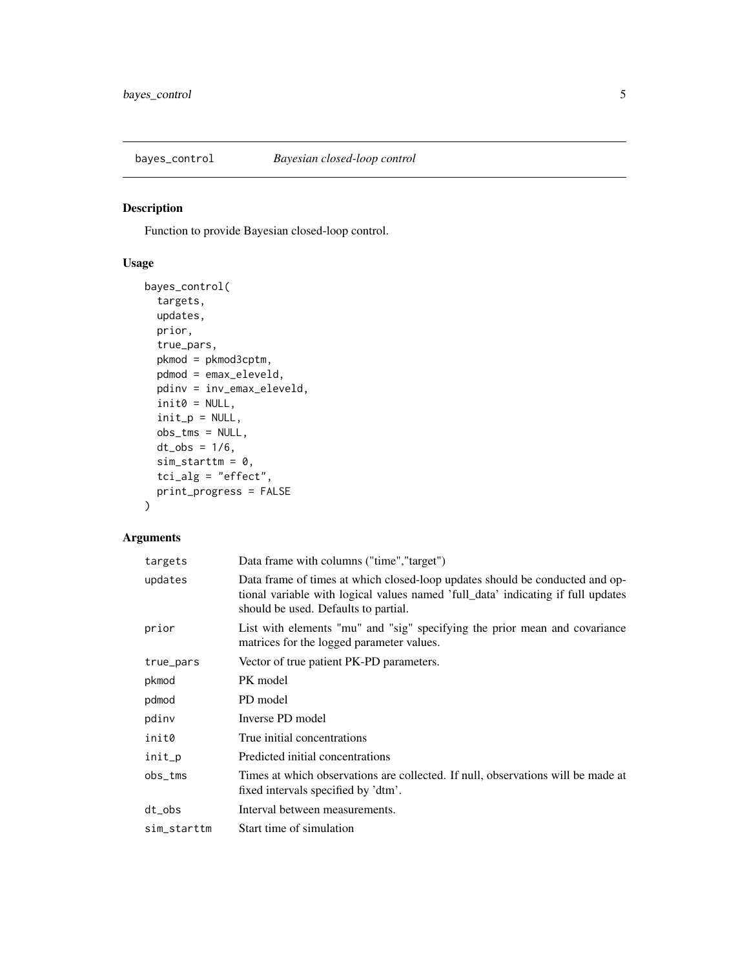<span id="page-4-0"></span>

Function to provide Bayesian closed-loop control.

# Usage

```
bayes_control(
  targets,
 updates,
 prior,
  true_pars,
 pkmod = pkmod3cptm,
 pdmod = emax_eleveld,
 pdinv = inv_emax_eleveld,
  init0 = NULL,
  init\_p = NULL,obs_tms = NULL,
 dt\_obs = 1/6,
  sim\_starttm = 0,
  tci_alg = "effect",
 print_progress = FALSE
\mathcal{L}
```

| targets         | Data frame with columns ("time", "target")                                                                                                                                                               |
|-----------------|----------------------------------------------------------------------------------------------------------------------------------------------------------------------------------------------------------|
| updates         | Data frame of times at which closed-loop updates should be conducted and op-<br>tional variable with logical values named 'full data' indicating if full updates<br>should be used. Defaults to partial. |
| prior           | List with elements "mu" and "sig" specifying the prior mean and covariance<br>matrices for the logged parameter values.                                                                                  |
| true_pars       | Vector of true patient PK-PD parameters.                                                                                                                                                                 |
| pkmod           | PK model                                                                                                                                                                                                 |
| pdmod           | PD model                                                                                                                                                                                                 |
| pdinv           | Inverse PD model                                                                                                                                                                                         |
| init0           | True initial concentrations                                                                                                                                                                              |
| init_p          | Predicted initial concentrations                                                                                                                                                                         |
| $obs_{rms}$     | Times at which observations are collected. If null, observations will be made at<br>fixed intervals specified by 'dtm'.                                                                                  |
| dt <sub>o</sub> | Interval between measurements.                                                                                                                                                                           |
| sim_starttm     | Start time of simulation                                                                                                                                                                                 |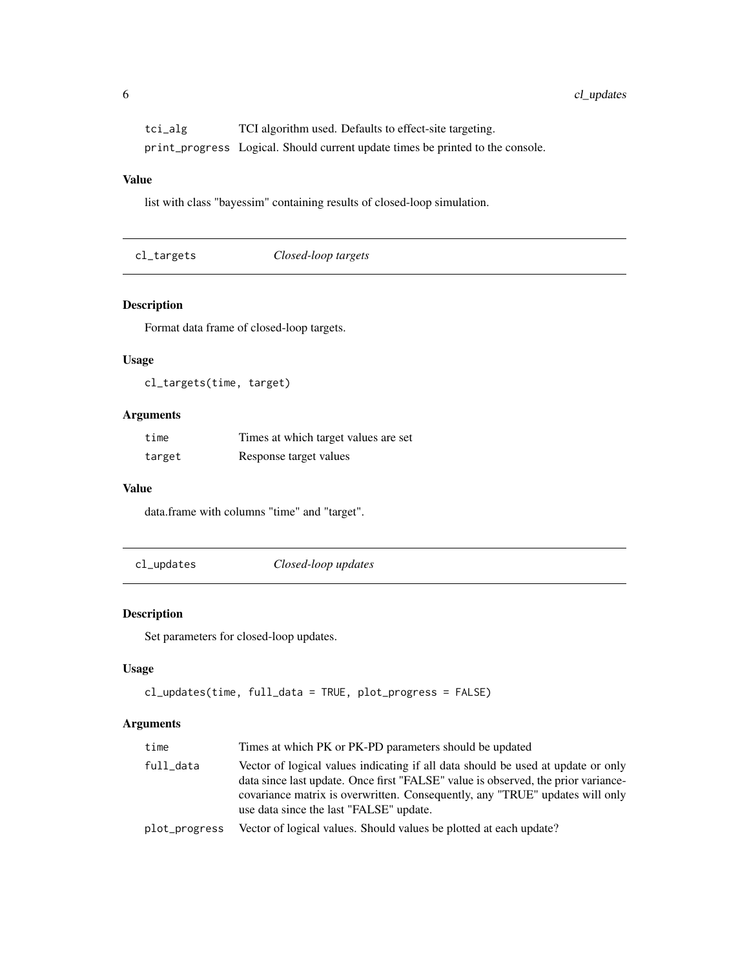<span id="page-5-0"></span>tci\_alg TCI algorithm used. Defaults to effect-site targeting. print\_progress Logical. Should current update times be printed to the console.

# Value

list with class "bayessim" containing results of closed-loop simulation.

| Closed-loop targets<br>cl_targets |  |
|-----------------------------------|--|
|-----------------------------------|--|

# Description

Format data frame of closed-loop targets.

# Usage

cl\_targets(time, target)

# Arguments

| time   | Times at which target values are set |
|--------|--------------------------------------|
| target | Response target values               |

## Value

data.frame with columns "time" and "target".

cl\_updates *Closed-loop updates*

# Description

Set parameters for closed-loop updates.

# Usage

```
cl_updates(time, full_data = TRUE, plot_progress = FALSE)
```

| time          | Times at which PK or PK-PD parameters should be updated                                                                                                                                                                                                                                          |
|---------------|--------------------------------------------------------------------------------------------------------------------------------------------------------------------------------------------------------------------------------------------------------------------------------------------------|
| full_data     | Vector of logical values indicating if all data should be used at update or only<br>data since last update. Once first "FALSE" value is observed, the prior variance-<br>covariance matrix is overwritten. Consequently, any "TRUE" updates will only<br>use data since the last "FALSE" update. |
| plot_progress | Vector of logical values. Should values be plotted at each update?                                                                                                                                                                                                                               |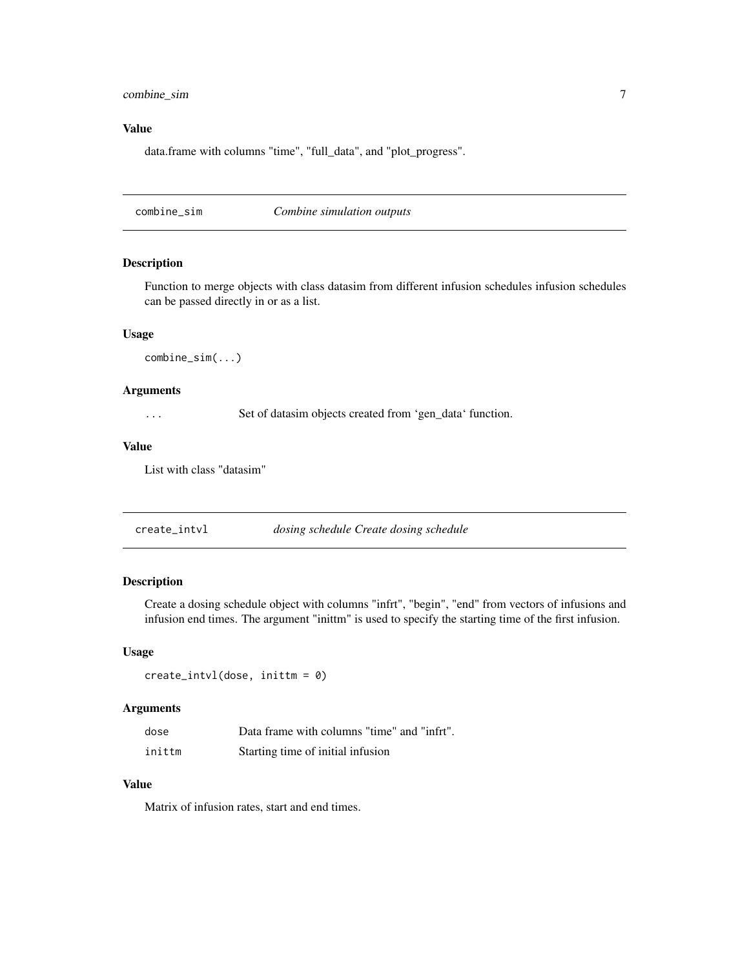# <span id="page-6-0"></span>combine\_sim 7

# Value

data.frame with columns "time", "full\_data", and "plot\_progress".

combine\_sim *Combine simulation outputs*

# Description

Function to merge objects with class datasim from different infusion schedules infusion schedules can be passed directly in or as a list.

#### Usage

combine\_sim(...)

## Arguments

... Set of datasim objects created from 'gen\_data' function.

## Value

List with class "datasim"

| create_intvl | dosing schedule Create dosing schedule |  |
|--------------|----------------------------------------|--|
|--------------|----------------------------------------|--|

# Description

Create a dosing schedule object with columns "infrt", "begin", "end" from vectors of infusions and infusion end times. The argument "inittm" is used to specify the starting time of the first infusion.

## Usage

```
create_intvl(dose, inittm = 0)
```
# Arguments

| dose   | Data frame with columns "time" and "infrt". |
|--------|---------------------------------------------|
| inittm | Starting time of initial infusion           |

### Value

Matrix of infusion rates, start and end times.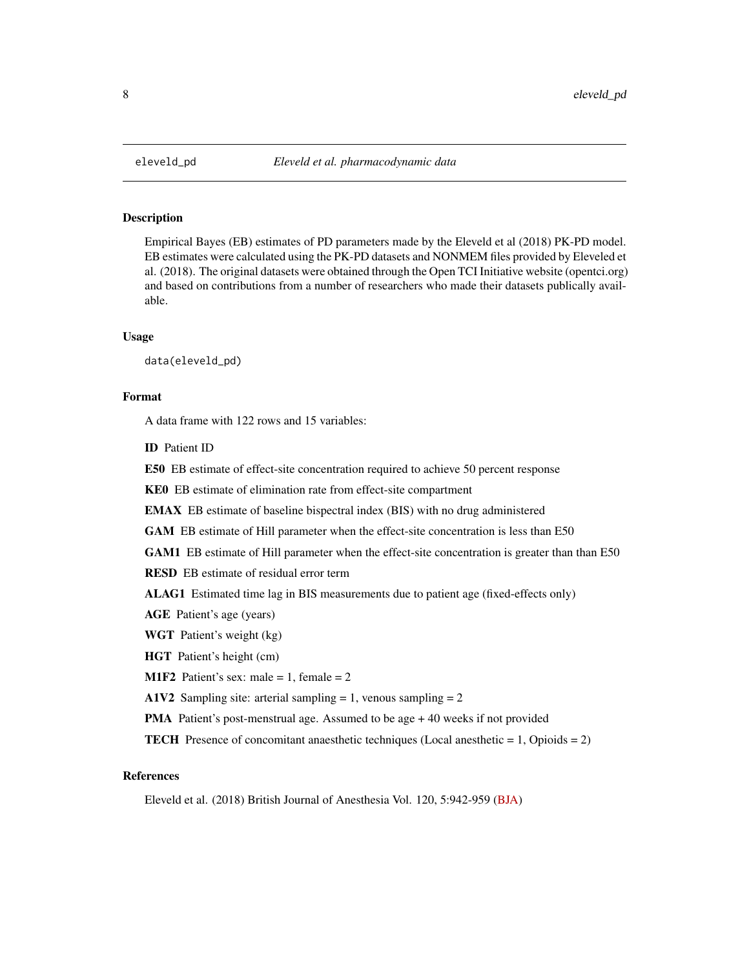<span id="page-7-0"></span>

Empirical Bayes (EB) estimates of PD parameters made by the Eleveld et al (2018) PK-PD model. EB estimates were calculated using the PK-PD datasets and NONMEM files provided by Eleveled et al. (2018). The original datasets were obtained through the Open TCI Initiative website (opentci.org) and based on contributions from a number of researchers who made their datasets publically available.

# Usage

data(eleveld\_pd)

# Format

A data frame with 122 rows and 15 variables:

ID Patient ID

E50 EB estimate of effect-site concentration required to achieve 50 percent response

KE0 EB estimate of elimination rate from effect-site compartment

EMAX EB estimate of baseline bispectral index (BIS) with no drug administered

GAM EB estimate of Hill parameter when the effect-site concentration is less than E50

GAM1 EB estimate of Hill parameter when the effect-site concentration is greater than than E50

RESD EB estimate of residual error term

ALAG1 Estimated time lag in BIS measurements due to patient age (fixed-effects only)

AGE Patient's age (years)

WGT Patient's weight (kg)

HGT Patient's height (cm)

**M1F2** Patient's sex: male = 1, female = 2

A1V2 Sampling site: arterial sampling  $= 1$ , venous sampling  $= 2$ 

PMA Patient's post-menstrual age. Assumed to be age + 40 weeks if not provided

**TECH** Presence of concomitant anaesthetic techniques (Local anesthetic  $= 1$ , Opioids  $= 2$ )

# References

Eleveld et al. (2018) British Journal of Anesthesia Vol. 120, 5:942-959 [\(BJA\)](https://bjanaesthesia.org/article/S0007-0912(18)30051-5/abstract)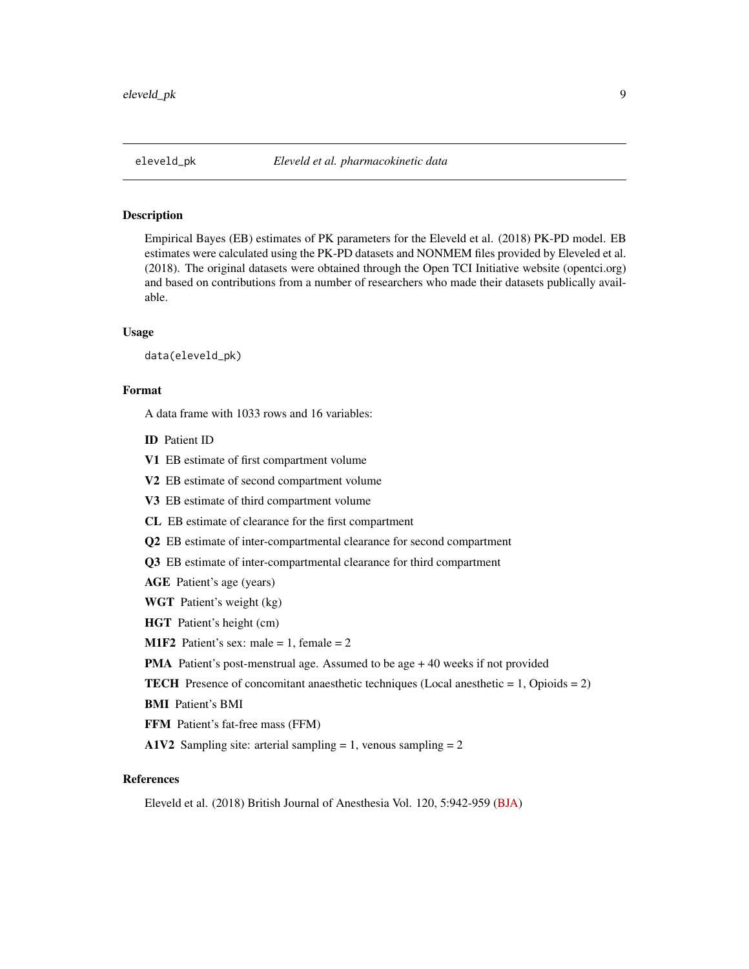<span id="page-8-0"></span>

Empirical Bayes (EB) estimates of PK parameters for the Eleveld et al. (2018) PK-PD model. EB estimates were calculated using the PK-PD datasets and NONMEM files provided by Eleveled et al. (2018). The original datasets were obtained through the Open TCI Initiative website (opentci.org) and based on contributions from a number of researchers who made their datasets publically available.

#### Usage

data(eleveld\_pk)

## Format

A data frame with 1033 rows and 16 variables:

- ID Patient ID
- V1 EB estimate of first compartment volume
- V2 EB estimate of second compartment volume
- V3 EB estimate of third compartment volume
- CL EB estimate of clearance for the first compartment
- **Q2** EB estimate of inter-compartmental clearance for second compartment
- Q3 EB estimate of inter-compartmental clearance for third compartment
- AGE Patient's age (years)
- WGT Patient's weight (kg)
- HGT Patient's height (cm)

**M1F2** Patient's sex: male = 1, female = 2

PMA Patient's post-menstrual age. Assumed to be age + 40 weeks if not provided

- **TECH** Presence of concomitant anaesthetic techniques (Local anesthetic  $= 1$ , Opioids  $= 2$ )
- BMI Patient's BMI
- FFM Patient's fat-free mass (FFM)
- A1V2 Sampling site: arterial sampling  $= 1$ , venous sampling  $= 2$

# References

Eleveld et al. (2018) British Journal of Anesthesia Vol. 120, 5:942-959 [\(BJA\)](https://bjanaesthesia.org/article/S0007-0912(18)30051-5/abstract)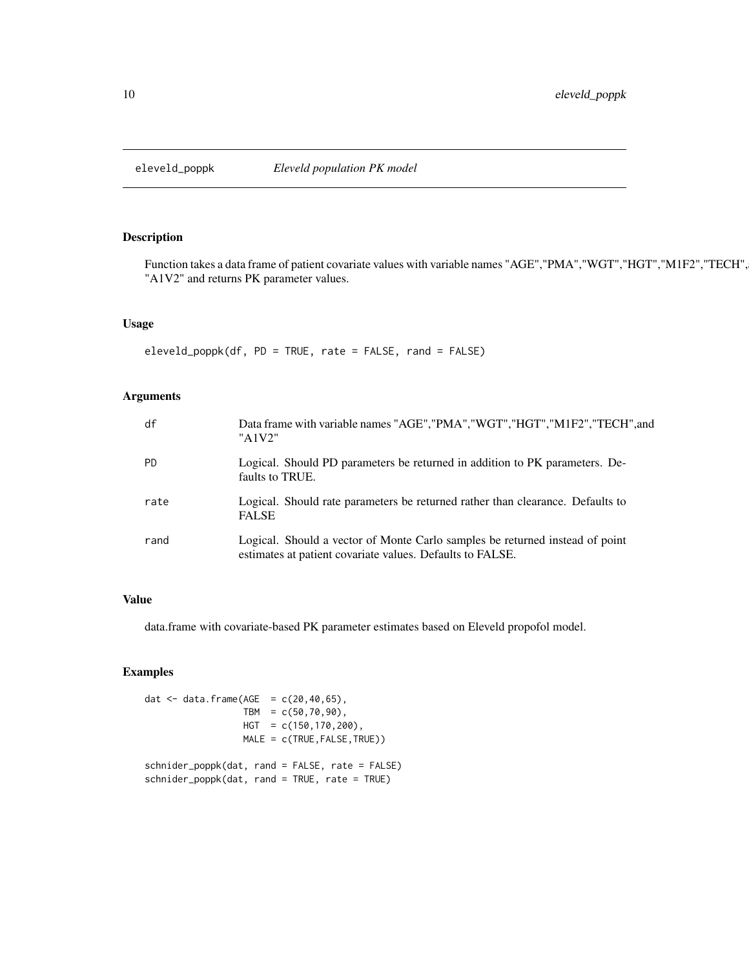<span id="page-9-0"></span>

Function takes a data frame of patient covariate values with variable names "AGE","PMA","WGT","HGT","M1F2","TECH", "A1V2" and returns PK parameter values.

# Usage

eleveld\_poppk(df, PD = TRUE, rate = FALSE, rand = FALSE)

# Arguments

| df        | Data frame with variable names "AGE", "PMA", "WGT", "HGT", "M1F2", "TECH", and<br>"A1V2"                                                  |
|-----------|-------------------------------------------------------------------------------------------------------------------------------------------|
| <b>PD</b> | Logical. Should PD parameters be returned in addition to PK parameters. De-<br>faults to TRUE.                                            |
| rate      | Logical. Should rate parameters be returned rather than clearance. Defaults to<br><b>FALSE</b>                                            |
| rand      | Logical. Should a vector of Monte Carlo samples be returned instead of point<br>estimates at patient covariate values. Defaults to FALSE. |

# Value

data.frame with covariate-based PK parameter estimates based on Eleveld propofol model.

# Examples

dat <- data.frame( $AGE = c(20, 40, 65)$ , TBM =  $c(50, 70, 90)$ , HGT = c(150,170,200), MALE = c(TRUE,FALSE,TRUE)) schnider\_poppk(dat, rand = FALSE, rate = FALSE) schnider\_poppk(dat, rand = TRUE, rate = TRUE)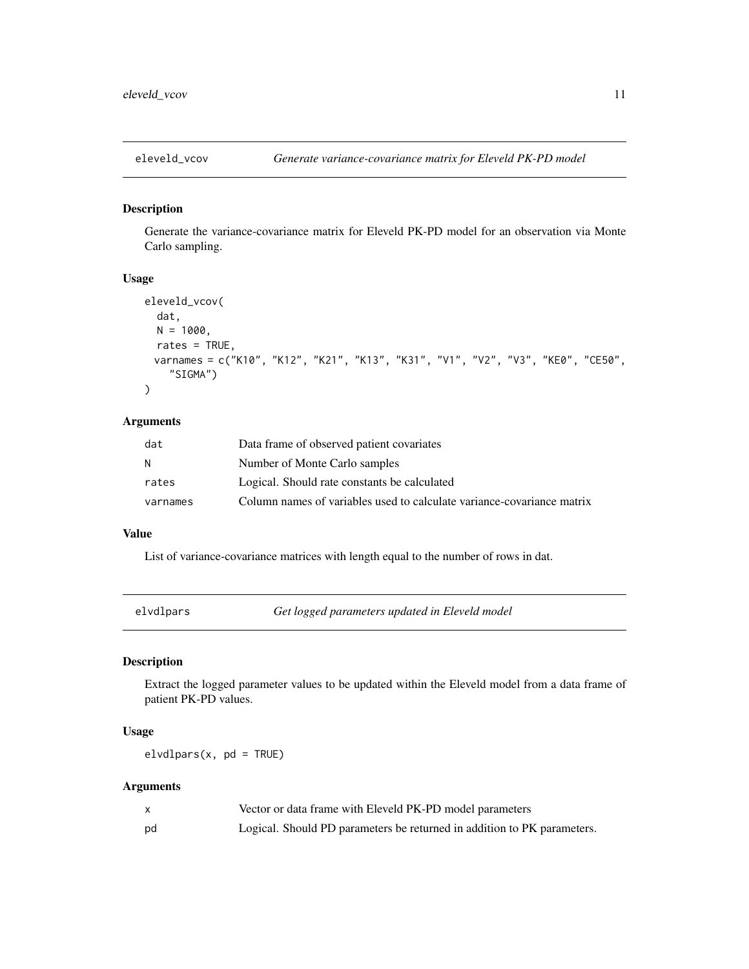<span id="page-10-0"></span>

Generate the variance-covariance matrix for Eleveld PK-PD model for an observation via Monte Carlo sampling.

## Usage

```
eleveld_vcov(
  dat,
 N = 1000,
 rates = TRUE,
 varnames = c("K10", "K12", "K21", "K13", "K31", "V1", "V2", "V3", "KE0", "CE50",
    "SIGMA")
)
```
# Arguments

| dat      | Data frame of observed patient covariates                              |
|----------|------------------------------------------------------------------------|
| N        | Number of Monte Carlo samples                                          |
| rates    | Logical. Should rate constants be calculated                           |
| varnames | Column names of variables used to calculate variance-covariance matrix |

## Value

List of variance-covariance matrices with length equal to the number of rows in dat.

elvdlpars *Get logged parameters updated in Eleveld model*

# Description

Extract the logged parameter values to be updated within the Eleveld model from a data frame of patient PK-PD values.

# Usage

 $elvdlpars(x, pd = TRUE)$ 

|    | Vector or data frame with Eleveld PK-PD model parameters                |
|----|-------------------------------------------------------------------------|
| pd | Logical. Should PD parameters be returned in addition to PK parameters. |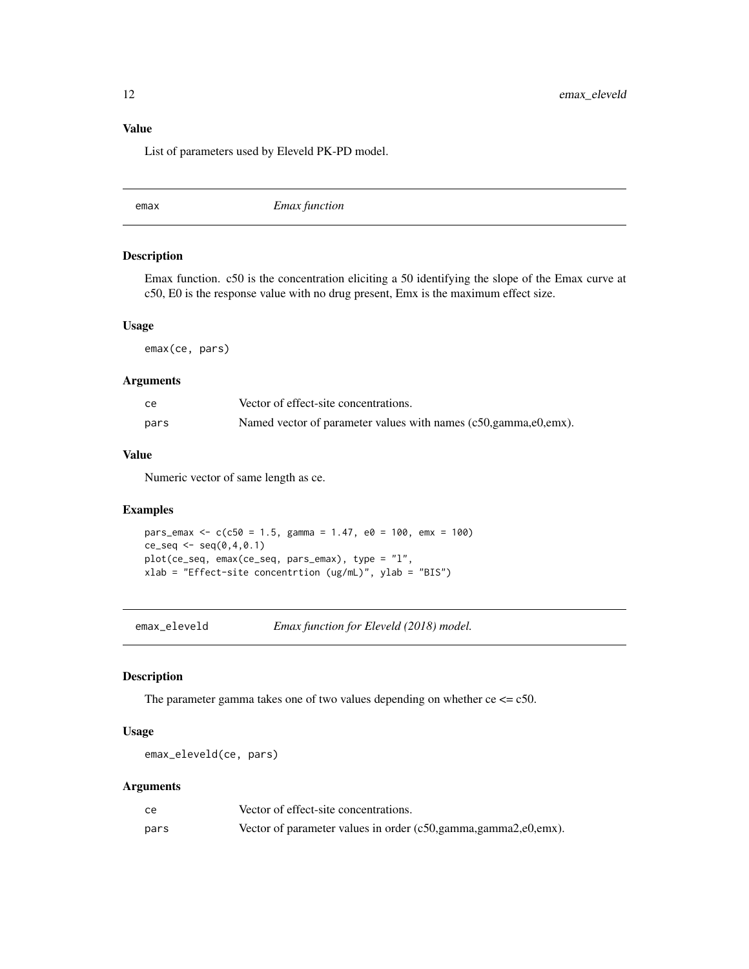# <span id="page-11-0"></span>Value

List of parameters used by Eleveld PK-PD model.

emax *Emax function*

# Description

Emax function. c50 is the concentration eliciting a 50 identifying the slope of the Emax curve at c50, E0 is the response value with no drug present, Emx is the maximum effect size.

#### Usage

emax(ce, pars)

## Arguments

| cе   | Vector of effect-site concentrations.                              |
|------|--------------------------------------------------------------------|
| pars | Named vector of parameter values with names (c50, gamma, e0, emx). |

#### Value

Numeric vector of same length as ce.

## Examples

```
pars_emax <- c(c50 = 1.5, gamma = 1.47, e0 = 100, emx = 100)
ce\_seq \leq - seq(0, 4, 0.1)plot(ce_seq, emax(ce_seq, pars_emax), type = "l",
xlab = "Effect-site concentrtion (ug/mL)", ylab = "BIS")
```
emax\_eleveld *Emax function for Eleveld (2018) model.*

# Description

The parameter gamma takes one of two values depending on whether  $ce \leq c50$ .

## Usage

emax\_eleveld(ce, pars)

| ce   | Vector of effect-site concentrations.                              |
|------|--------------------------------------------------------------------|
| pars | Vector of parameter values in order (c50, gamma, gamma2, e0, emx). |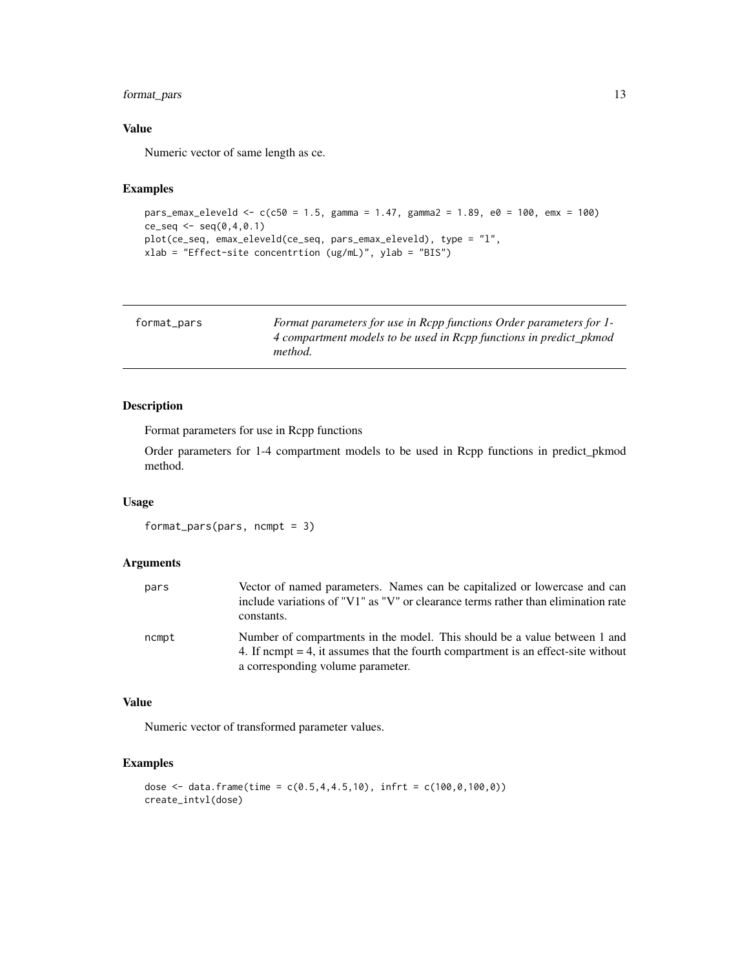# <span id="page-12-0"></span>format\_pars 13

# Value

Numeric vector of same length as ce.

# Examples

```
pars_emax_eleveld <- c(c50 = 1.5, gamma = 1.47, gamma2 = 1.89, e0 = 100, emx = 100)
ce\_seq \leq seq(0, 4, 0.1)plot(ce_seq, emax_eleveld(ce_seq, pars_emax_eleveld), type = "l",
xlab = "Effect-site concentrtion (ug/mL)", ylab = "BIS")
```

| format_pars | Format parameters for use in Rcpp functions Order parameters for 1- |
|-------------|---------------------------------------------------------------------|
|             | 4 compartment models to be used in Rcpp functions in predict_pkmod  |
|             | <i>method.</i>                                                      |

# Description

Format parameters for use in Rcpp functions

Order parameters for 1-4 compartment models to be used in Rcpp functions in predict\_pkmod method.

## Usage

format\_pars(pars, ncmpt = 3)

## Arguments

| pars  | Vector of named parameters. Names can be capitalized or lowercase and can<br>include variations of "V1" as "V" or clearance terms rather than elimination rate<br>constants.                          |
|-------|-------------------------------------------------------------------------------------------------------------------------------------------------------------------------------------------------------|
| ncmpt | Number of compartments in the model. This should be a value between 1 and<br>4. If nempt $=$ 4, it assumes that the fourth compartment is an effect-site without<br>a corresponding volume parameter. |

## Value

Numeric vector of transformed parameter values.

# Examples

```
dose <- data.frame(time = c(0.5, 4, 4.5, 10), infrt = c(100, 0, 100, 0))
create_intvl(dose)
```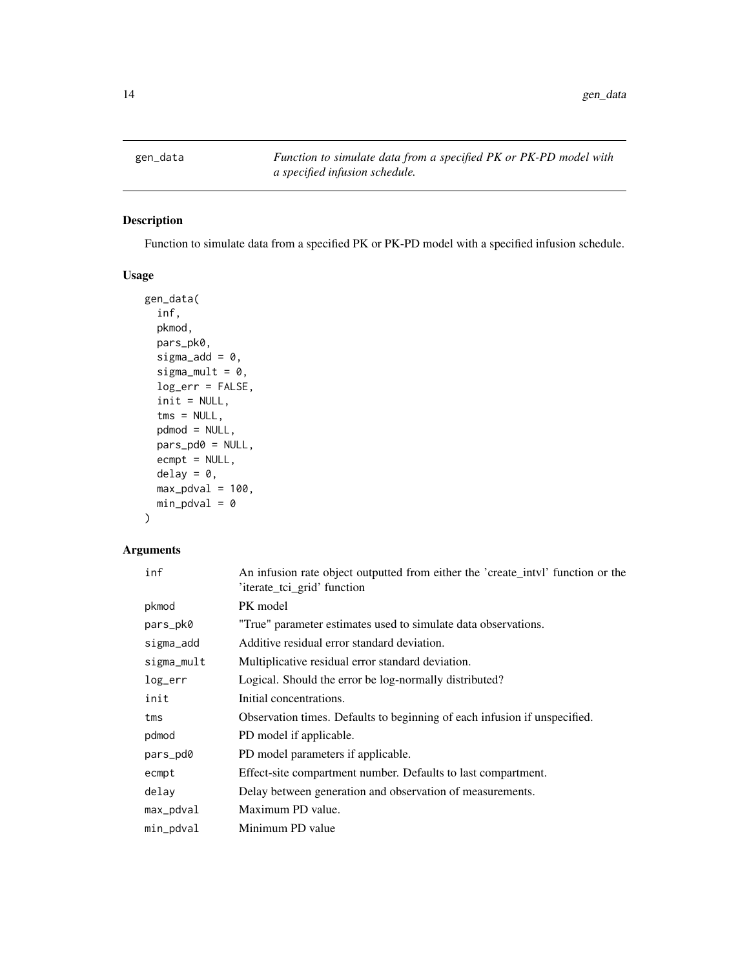<span id="page-13-0"></span>

Function to simulate data from a specified PK or PK-PD model with a specified infusion schedule.

# Usage

```
gen_data(
  inf,
 pkmod,
 pars_pk0,
  sigma_add = 0,
  sigma_mult = 0,
  log_err = FALSE,
  init = NULL,
  tms = NULL,pdmod = NULL,
 pars_pd0 = NULL,
  ecmpt = NULL,
  delay = \theta,
 max_pdval = 100,
 min\_pdval = 0)
```

| inf        | An infusion rate object outputted from either the 'create_intvl' function or the<br>'iterate_tci_grid' function |
|------------|-----------------------------------------------------------------------------------------------------------------|
| pkmod      | PK model                                                                                                        |
| pars_pk0   | "True" parameter estimates used to simulate data observations.                                                  |
| sigma_add  | Additive residual error standard deviation.                                                                     |
| sigma_mult | Multiplicative residual error standard deviation.                                                               |
| log_err    | Logical. Should the error be log-normally distributed?                                                          |
| init       | Initial concentrations.                                                                                         |
| tms        | Observation times. Defaults to beginning of each infusion if unspecified.                                       |
| pdmod      | PD model if applicable.                                                                                         |
| pars_pd0   | PD model parameters if applicable.                                                                              |
| ecmpt      | Effect-site compartment number. Defaults to last compartment.                                                   |
| delay      | Delay between generation and observation of measurements.                                                       |
| max_pdval  | Maximum PD value.                                                                                               |
| min_pdval  | Minimum PD value                                                                                                |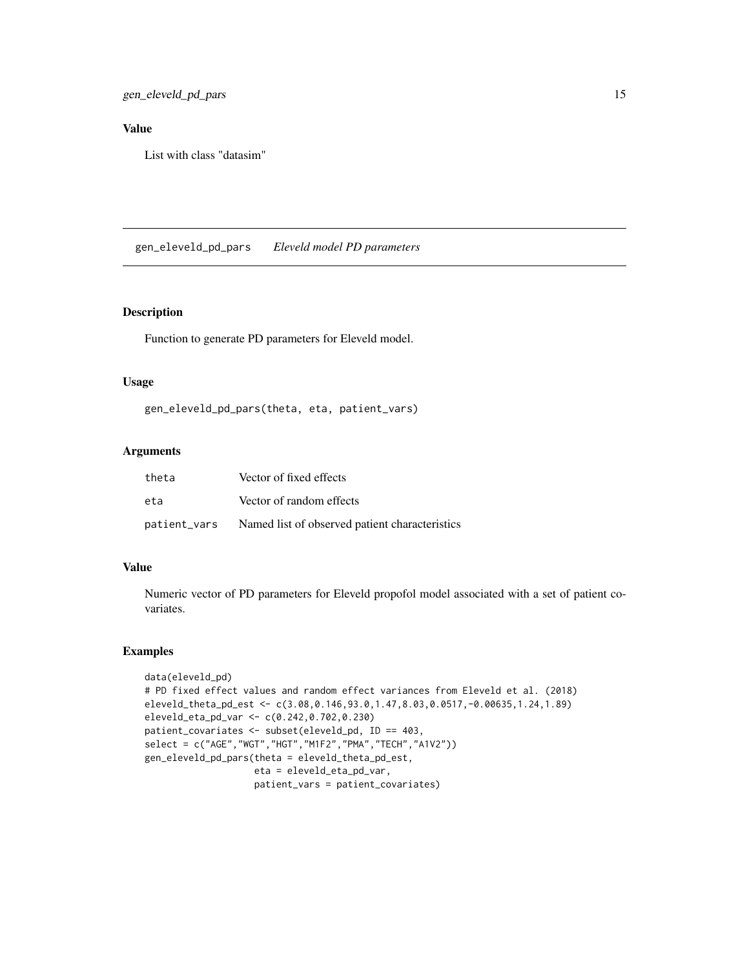<span id="page-14-0"></span>gen\_eleveld\_pd\_pars 15

# Value

List with class "datasim"

gen\_eleveld\_pd\_pars *Eleveld model PD parameters*

#### Description

Function to generate PD parameters for Eleveld model.

## Usage

gen\_eleveld\_pd\_pars(theta, eta, patient\_vars)

# Arguments

| theta | Vector of fixed effects                                     |
|-------|-------------------------------------------------------------|
| eta   | Vector of random effects                                    |
|       | patient_vars Named list of observed patient characteristics |

# Value

Numeric vector of PD parameters for Eleveld propofol model associated with a set of patient covariates.

## Examples

```
data(eleveld_pd)
# PD fixed effect values and random effect variances from Eleveld et al. (2018)
eleveld_theta_pd_est <- c(3.08,0.146,93.0,1.47,8.03,0.0517,-0.00635,1.24,1.89)
eleveld_eta_pd_var <- c(0.242,0.702,0.230)
patient_covariates <- subset(eleveld_pd, ID == 403,
select = c("AGE","WGT","HGT","M1F2","PMA","TECH","A1V2"))
gen_eleveld_pd_pars(theta = eleveld_theta_pd_est,
                    eta = eleveld_eta_pd_var,
                    patient_vars = patient_covariates)
```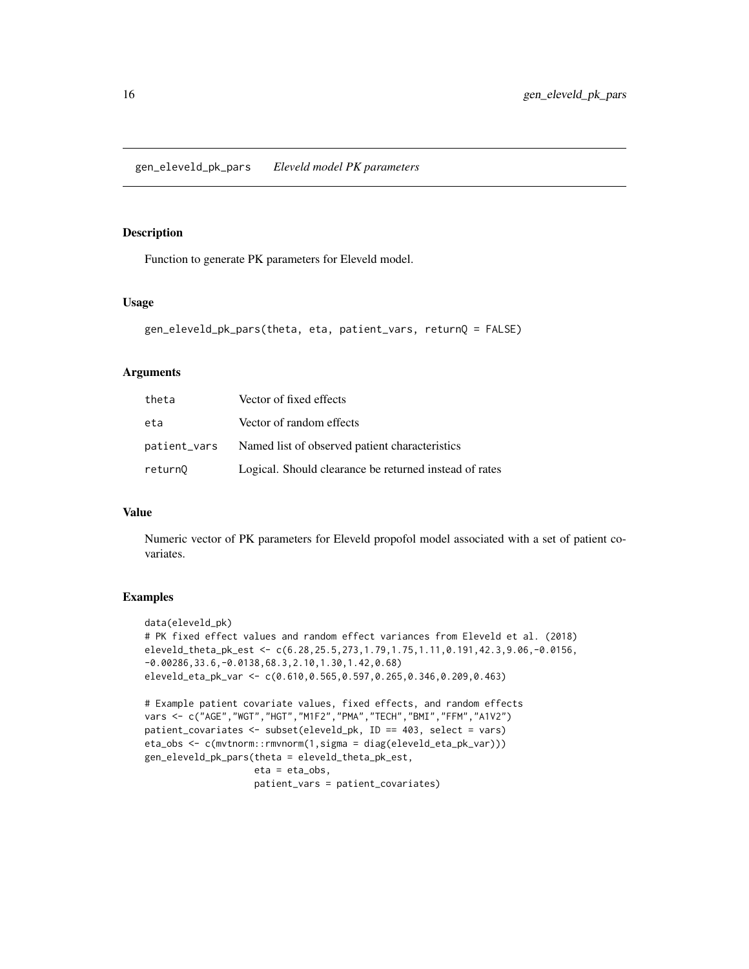<span id="page-15-0"></span>Function to generate PK parameters for Eleveld model.

#### Usage

```
gen_eleveld_pk_pars(theta, eta, patient_vars, returnQ = FALSE)
```
# Arguments

| theta        | Vector of fixed effects                                |
|--------------|--------------------------------------------------------|
| eta          | Vector of random effects                               |
| patient_vars | Named list of observed patient characteristics         |
| return0      | Logical. Should clearance be returned instead of rates |

# Value

Numeric vector of PK parameters for Eleveld propofol model associated with a set of patient covariates.

#### Examples

```
data(eleveld_pk)
# PK fixed effect values and random effect variances from Eleveld et al. (2018)
eleveld_theta_pk_est <- c(6.28,25.5,273,1.79,1.75,1.11,0.191,42.3,9.06,-0.0156,
-0.00286,33.6,-0.0138,68.3,2.10,1.30,1.42,0.68)
eleveld_eta_pk_var <- c(0.610,0.565,0.597,0.265,0.346,0.209,0.463)
# Example patient covariate values, fixed effects, and random effects
vars <- c("AGE","WGT","HGT","M1F2","PMA","TECH","BMI","FFM","A1V2")
patient_covariates <- subset(eleveld_pk, ID == 403, select = vars)
eta_obs <- c(mvtnorm::rmvnorm(1,sigma = diag(eleveld_eta_pk_var)))
gen_eleveld_pk_pars(theta = eleveld_theta_pk_est,
                    eta = eta_obs,
                    patient_vars = patient_covariates)
```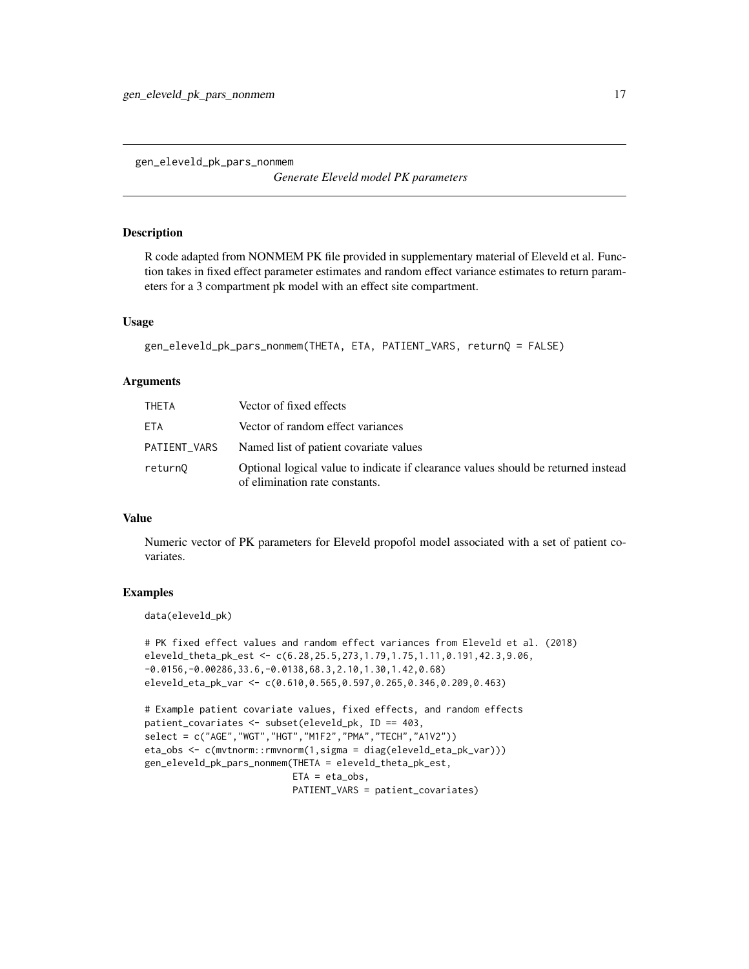<span id="page-16-0"></span>gen\_eleveld\_pk\_pars\_nonmem

*Generate Eleveld model PK parameters*

## Description

R code adapted from NONMEM PK file provided in supplementary material of Eleveld et al. Function takes in fixed effect parameter estimates and random effect variance estimates to return parameters for a 3 compartment pk model with an effect site compartment.

# Usage

```
gen_eleveld_pk_pars_nonmem(THETA, ETA, PATIENT_VARS, returnQ = FALSE)
```
## **Arguments**

| THETA        | Vector of fixed effects                                                                                             |
|--------------|---------------------------------------------------------------------------------------------------------------------|
| ETA          | Vector of random effect variances                                                                                   |
| PATIENT_VARS | Named list of patient covariate values                                                                              |
| return0      | Optional logical value to indicate if clearance values should be returned instead<br>of elimination rate constants. |

# Value

Numeric vector of PK parameters for Eleveld propofol model associated with a set of patient covariates.

# Examples

data(eleveld\_pk)

```
# PK fixed effect values and random effect variances from Eleveld et al. (2018)
eleveld_theta_pk_est <- c(6.28,25.5,273,1.79,1.75,1.11,0.191,42.3,9.06,
-0.0156,-0.00286,33.6,-0.0138,68.3,2.10,1.30,1.42,0.68)
eleveld_eta_pk_var <- c(0.610,0.565,0.597,0.265,0.346,0.209,0.463)
```

```
# Example patient covariate values, fixed effects, and random effects
patient_covariates <- subset(eleveld_pk, ID == 403,
select = c("AGE","WGT","HGT","M1F2","PMA","TECH","A1V2"))
eta_obs <- c(mvtnorm::rmvnorm(1,sigma = diag(eleveld_eta_pk_var)))
gen_eleveld_pk_pars_nonmem(THETA = eleveld_theta_pk_est,
                          ETA = eta_obs,PATIENT_VARS = patient_covariates)
```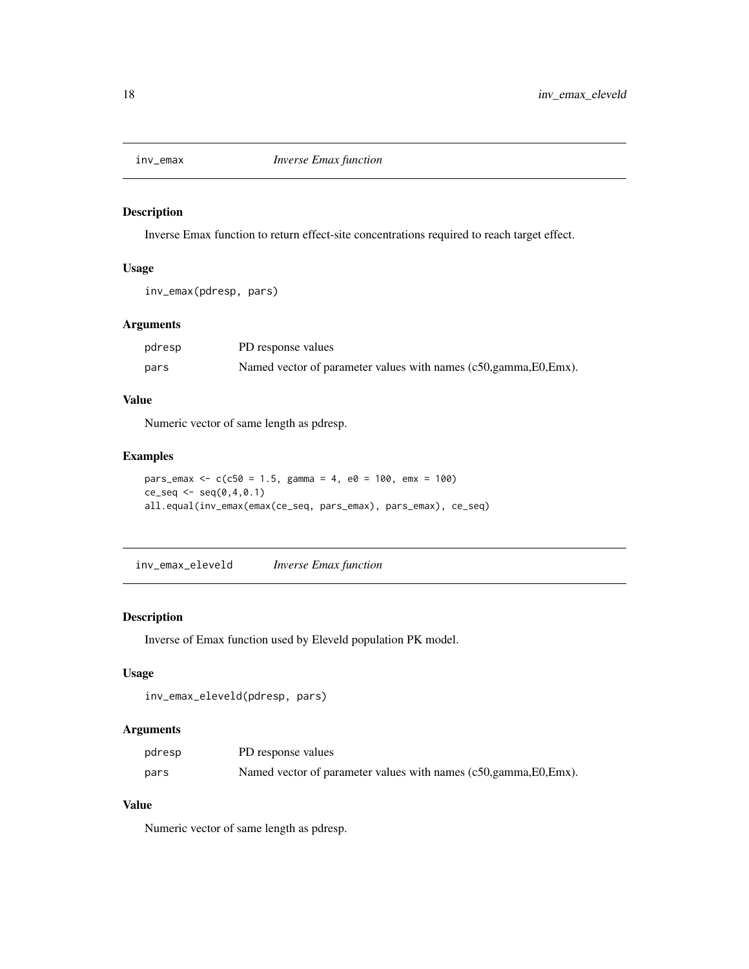<span id="page-17-0"></span>

Inverse Emax function to return effect-site concentrations required to reach target effect.

## Usage

```
inv_emax(pdresp, pars)
```
## Arguments

| pdresp | PD response values                                                 |
|--------|--------------------------------------------------------------------|
| pars   | Named vector of parameter values with names (c50, gamma, E0, Emx). |

# Value

Numeric vector of same length as pdresp.

# Examples

```
pars_emax <- c(c50 = 1.5, gamma = 4, e0 = 100, emx = 100)
ce\_seq \le - seq(0, 4, 0.1)all.equal(inv_emax(emax(ce_seq, pars_emax), pars_emax), ce_seq)
```
inv\_emax\_eleveld *Inverse Emax function*

## Description

Inverse of Emax function used by Eleveld population PK model.

# Usage

```
inv_emax_eleveld(pdresp, pars)
```
#### Arguments

| pdresp | PD response values                                                 |
|--------|--------------------------------------------------------------------|
| pars   | Named vector of parameter values with names (c50, gamma, E0, Emx). |

# Value

Numeric vector of same length as pdresp.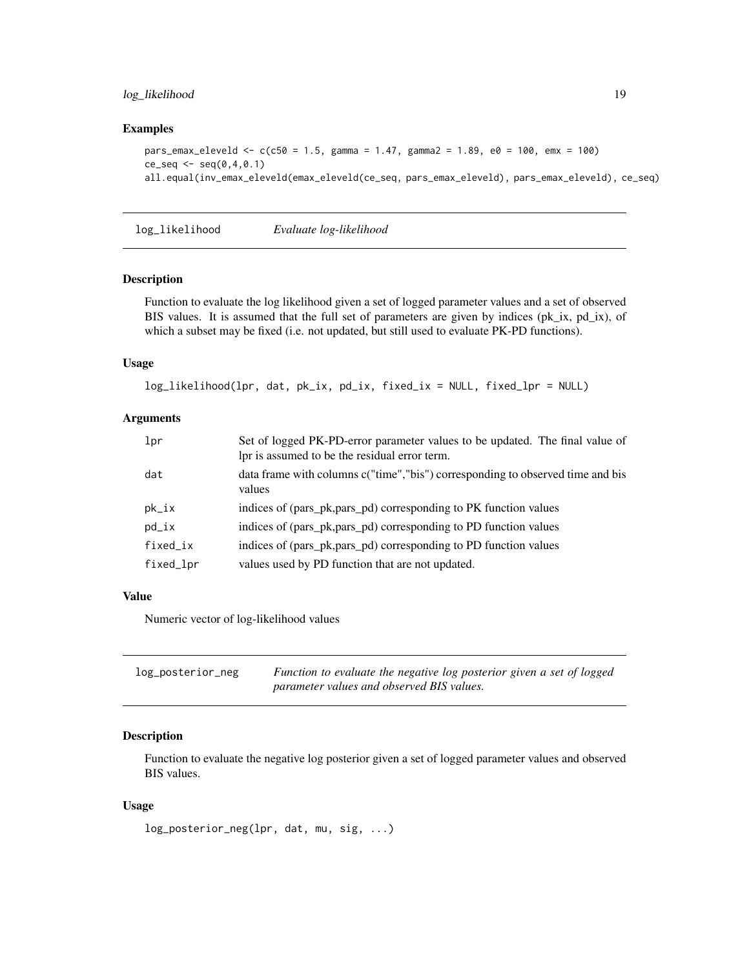# <span id="page-18-0"></span>log\_likelihood 19

## Examples

```
pars_emax_eleveld <- c(c50 = 1.5, gamma = 1.47, gamma2 = 1.89, e0 = 100, emx = 100)
ce\_seq \leq -seq(0, 4, 0.1)all.equal(inv_emax_eleveld(emax_eleveld(ce_seq, pars_emax_eleveld), pars_emax_eleveld), ce_seq)
```
log\_likelihood *Evaluate log-likelihood*

## Description

Function to evaluate the log likelihood given a set of logged parameter values and a set of observed BIS values. It is assumed that the full set of parameters are given by indices (pk\_ix, pd\_ix), of which a subset may be fixed (i.e. not updated, but still used to evaluate PK-PD functions).

## Usage

```
log_likelihood(lpr, dat, pk_ix, pd_ix, fixed_ix = NULL, fixed_lpr = NULL)
```
# Arguments

| lpr       | Set of logged PK-PD-error parameter values to be updated. The final value of<br>lpr is assumed to be the residual error term. |
|-----------|-------------------------------------------------------------------------------------------------------------------------------|
| dat       | data frame with columns c("time","bis") corresponding to observed time and bis<br>values                                      |
| $pk\_ix$  | indices of (pars_pk,pars_pd) corresponding to PK function values                                                              |
| $pd_ix$   | indices of (pars_pk,pars_pd) corresponding to PD function values                                                              |
| fixed_ix  | indices of (pars_pk,pars_pd) corresponding to PD function values                                                              |
| fixed_lpr | values used by PD function that are not updated.                                                                              |

#### Value

Numeric vector of log-likelihood values

| log_posterior_neg | Function to evaluate the negative log posterior given a set of logged |
|-------------------|-----------------------------------------------------------------------|
|                   | parameter values and observed BIS values.                             |

#### Description

Function to evaluate the negative log posterior given a set of logged parameter values and observed BIS values.

## Usage

log\_posterior\_neg(lpr, dat, mu, sig, ...)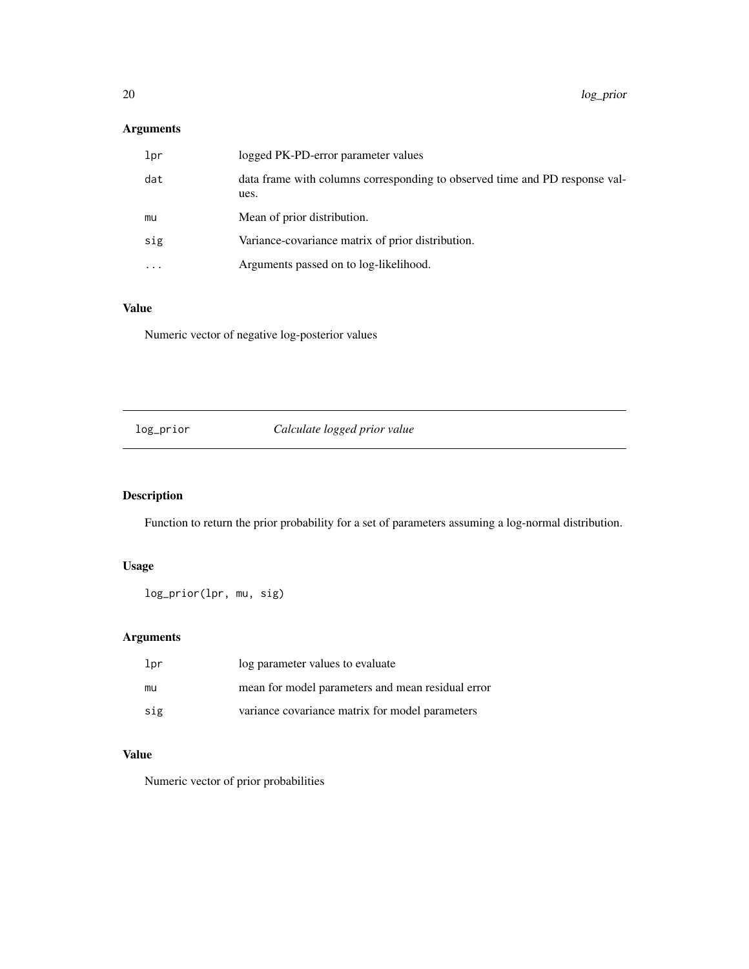# <span id="page-19-0"></span>Arguments

| lpr                     | logged PK-PD-error parameter values                                                 |
|-------------------------|-------------------------------------------------------------------------------------|
| dat                     | data frame with columns corresponding to observed time and PD response val-<br>ues. |
| mu                      | Mean of prior distribution.                                                         |
| sig                     | Variance-covariance matrix of prior distribution.                                   |
| $\cdot$ $\cdot$ $\cdot$ | Arguments passed on to log-likelihood.                                              |
|                         |                                                                                     |

# Value

Numeric vector of negative log-posterior values

log\_prior *Calculate logged prior value*

# Description

Function to return the prior probability for a set of parameters assuming a log-normal distribution.

# Usage

```
log_prior(lpr, mu, sig)
```
# Arguments

| lpr | log parameter values to evaluate                  |
|-----|---------------------------------------------------|
| mu  | mean for model parameters and mean residual error |
| sig | variance covariance matrix for model parameters   |

# Value

Numeric vector of prior probabilities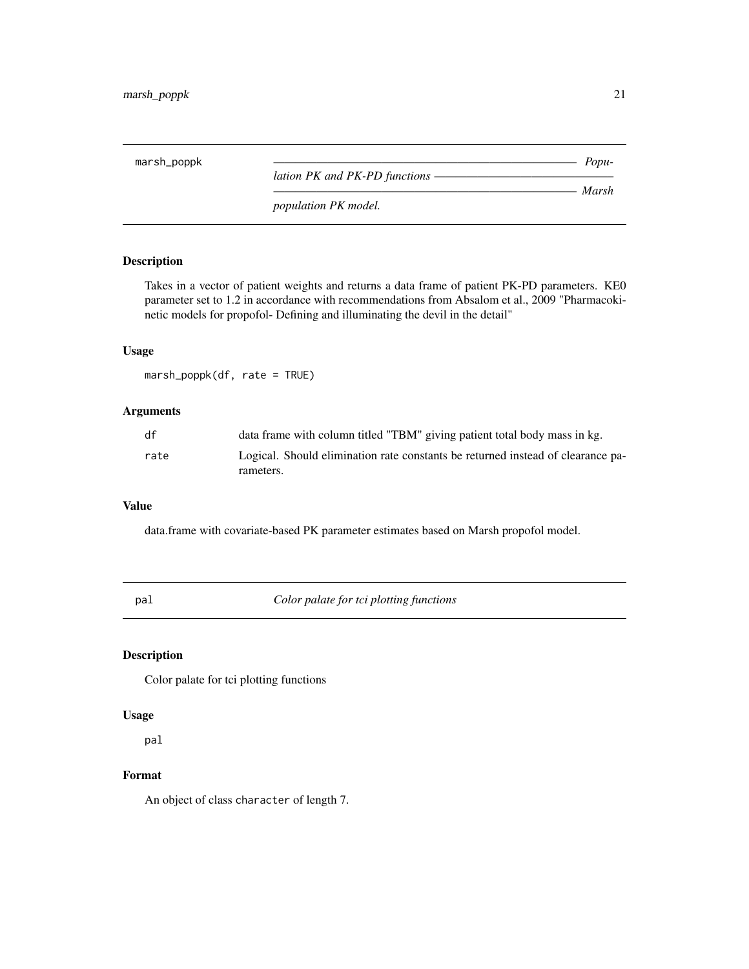<span id="page-20-0"></span>marsh\_poppk *———————————————————————————— Population PK and PK-PD functions – ———————————————————————————— Marsh population PK model.*

# Description

Takes in a vector of patient weights and returns a data frame of patient PK-PD parameters. KE0 parameter set to 1.2 in accordance with recommendations from Absalom et al., 2009 "Pharmacokinetic models for propofol- Defining and illuminating the devil in the detail"

# Usage

marsh\_poppk(df, rate = TRUE)

## Arguments

| df   | data frame with column titled "TBM" giving patient total body mass in kg.       |
|------|---------------------------------------------------------------------------------|
| rate | Logical. Should elimination rate constants be returned instead of clearance pa- |
|      | rameters.                                                                       |

## Value

data.frame with covariate-based PK parameter estimates based on Marsh propofol model.

pal *Color palate for tci plotting functions*

# Description

Color palate for tci plotting functions

## Usage

pal

## Format

An object of class character of length 7.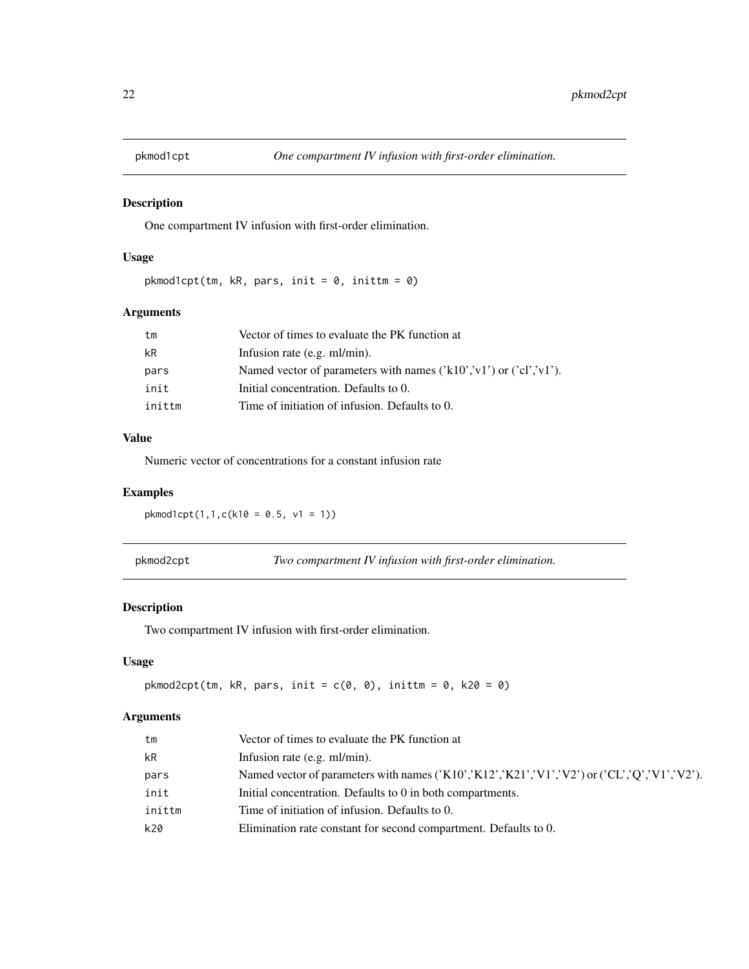<span id="page-21-0"></span>

One compartment IV infusion with first-order elimination.

# Usage

 $pkmod1cpt(tm, kR, pars, init = 0, inittm = 0)$ 

# Arguments

| tm     | Vector of times to evaluate the PK function at                                                        |
|--------|-------------------------------------------------------------------------------------------------------|
| kR     | Infusion rate $(e.g. \text{ml/min})$ .                                                                |
| pars   | Named vector of parameters with names $(\text{'k10'}, \text{'v1'})$ or $(\text{'cl'}, \text{'v1'})$ . |
| init   | Initial concentration. Defaults to 0.                                                                 |
| inittm | Time of initiation of infusion. Defaults to 0.                                                        |
|        |                                                                                                       |

# Value

Numeric vector of concentrations for a constant infusion rate

# Examples

pkmod1cpt(1,1,c(k10 = 0.5, v1 = 1))

pkmod2cpt *Two compartment IV infusion with first-order elimination.*

# Description

Two compartment IV infusion with first-order elimination.

## Usage

```
pkmod2cpt(tm, kR, pars, init = c(0, 0), inittm = 0, k20 = 0)
```

| Vector of times to evaluate the PK function at                                                |
|-----------------------------------------------------------------------------------------------|
| Infusion rate $(e.g. \text{ml/min})$ .                                                        |
| Named vector of parameters with names $(X10', X12', X21', V1, V2')$ or $(CL', Q', V1, V2')$ . |
| Initial concentration. Defaults to 0 in both compartments.                                    |
| Time of initiation of infusion. Defaults to 0.                                                |
| Elimination rate constant for second compartment. Defaults to 0.                              |
|                                                                                               |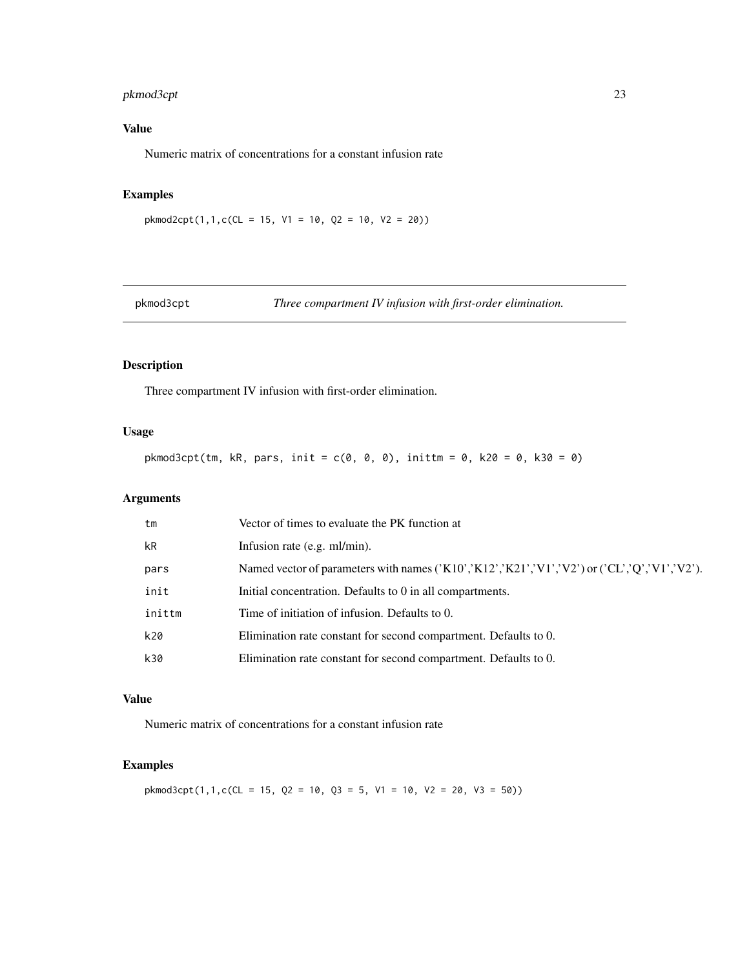# <span id="page-22-0"></span>pkmod3cpt 23

# Value

Numeric matrix of concentrations for a constant infusion rate

# Examples

 $pkmod2cpt(1,1,c(CL = 15, V1 = 10, Q2 = 10, V2 = 20))$ 

pkmod3cpt *Three compartment IV infusion with first-order elimination.*

# Description

Three compartment IV infusion with first-order elimination.

# Usage

 $pkmod3cpt(tm, kR, pars, init = c(0, 0, 0), inittm = 0, k20 = 0, k30 = 0)$ 

# Arguments

| Named vector of parameters with names $(X10', K12', K21', V1', V2')$ or $(CL', Q', V1', V2')$ . |
|-------------------------------------------------------------------------------------------------|
|                                                                                                 |
|                                                                                                 |
|                                                                                                 |
|                                                                                                 |
|                                                                                                 |

## Value

Numeric matrix of concentrations for a constant infusion rate

# Examples

 $pkmod3cpt(1,1,c(CL = 15, Q2 = 10, Q3 = 5, V1 = 10, V2 = 20, V3 = 50))$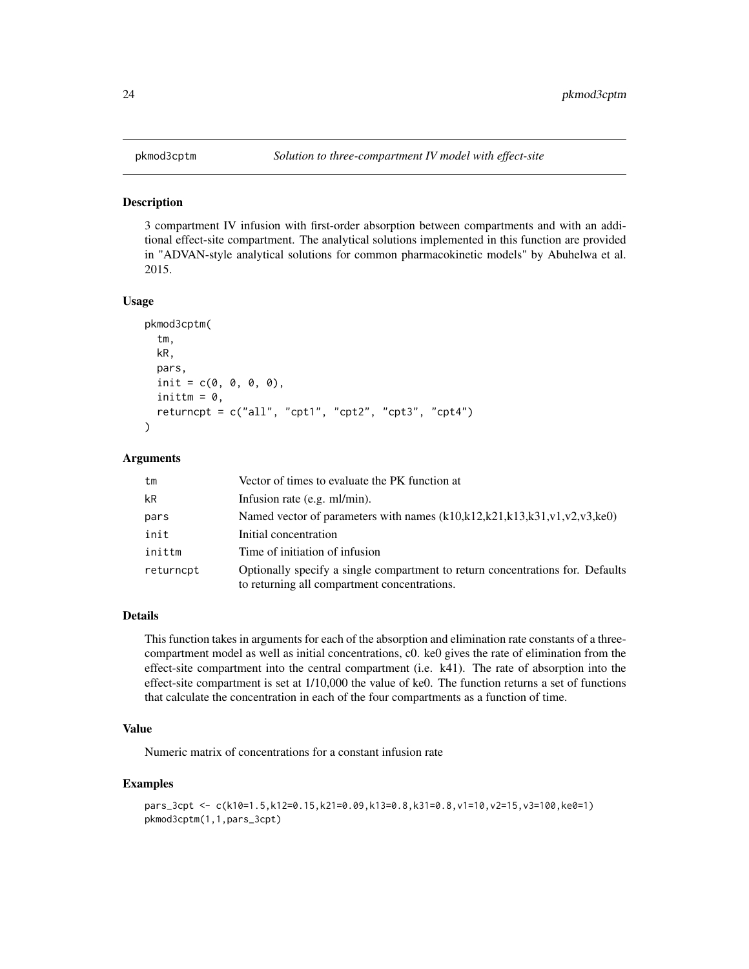<span id="page-23-0"></span>

3 compartment IV infusion with first-order absorption between compartments and with an additional effect-site compartment. The analytical solutions implemented in this function are provided in "ADVAN-style analytical solutions for common pharmacokinetic models" by Abuhelwa et al. 2015.

#### Usage

```
pkmod3cptm(
  tm,
  kR,
  pars,
  init = c(0, 0, 0, 0),
  inittm = 0,
  return \text{cpt} = c("all", "cpt", "cpt2", "cpt3", "cpt4"))
```
## Arguments

| tm        | Vector of times to evaluate the PK function at                                                                                 |
|-----------|--------------------------------------------------------------------------------------------------------------------------------|
| kR        | Infusion rate (e.g. ml/min).                                                                                                   |
| pars      | Named vector of parameters with names $(k10,k12,k21,k13,k31,v1,v2,v3,ke0)$                                                     |
| init      | Initial concentration                                                                                                          |
| inittm    | Time of initiation of infusion                                                                                                 |
| returncpt | Optionally specify a single compartment to return concentrations for. Defaults<br>to returning all compartment concentrations. |

#### Details

This function takes in arguments for each of the absorption and elimination rate constants of a threecompartment model as well as initial concentrations, c0. ke0 gives the rate of elimination from the effect-site compartment into the central compartment (i.e. k41). The rate of absorption into the effect-site compartment is set at 1/10,000 the value of ke0. The function returns a set of functions that calculate the concentration in each of the four compartments as a function of time.

#### Value

Numeric matrix of concentrations for a constant infusion rate

#### Examples

```
pars_3cpt <- c(k10=1.5,k12=0.15,k21=0.09,k13=0.8,k31=0.8,v1=10,v2=15,v3=100,ke0=1)
pkmod3cptm(1,1,pars_3cpt)
```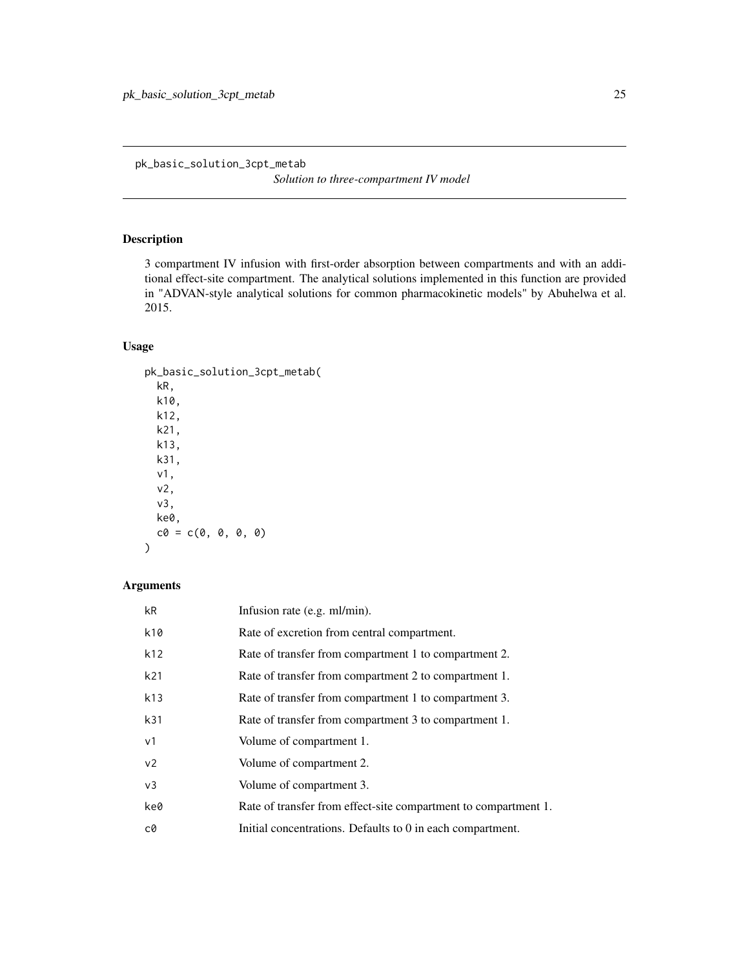<span id="page-24-0"></span>pk\_basic\_solution\_3cpt\_metab

*Solution to three-compartment IV model*

# Description

3 compartment IV infusion with first-order absorption between compartments and with an additional effect-site compartment. The analytical solutions implemented in this function are provided in "ADVAN-style analytical solutions for common pharmacokinetic models" by Abuhelwa et al. 2015.

# Usage

```
pk_basic_solution_3cpt_metab(
  kR,
  k10,
 k12,
 k21,
 k13,
 k31,
  v1,
  v2,
  v3,
 ke0,
  c0 = c(0, 0, 0, 0))
```

| kR              | Infusion rate (e.g. ml/min).                                    |
|-----------------|-----------------------------------------------------------------|
| k10             | Rate of excretion from central compartment.                     |
| k12             | Rate of transfer from compartment 1 to compartment 2.           |
| k <sub>21</sub> | Rate of transfer from compartment 2 to compartment 1.           |
| k13             | Rate of transfer from compartment 1 to compartment 3.           |
| k31             | Rate of transfer from compartment 3 to compartment 1.           |
| v <sub>1</sub>  | Volume of compartment 1.                                        |
| v <sub>2</sub>  | Volume of compartment 2.                                        |
| v <sub>3</sub>  | Volume of compartment 3.                                        |
| ke0             | Rate of transfer from effect-site compartment to compartment 1. |
| c0              | Initial concentrations. Defaults to 0 in each compartment.      |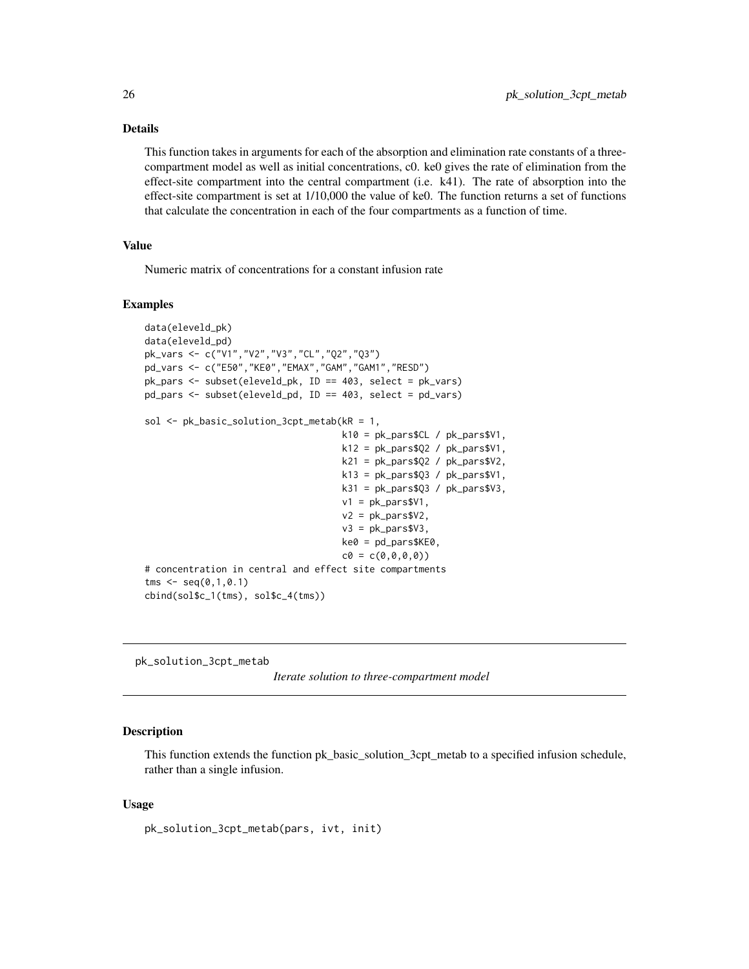# Details

This function takes in arguments for each of the absorption and elimination rate constants of a threecompartment model as well as initial concentrations, c0. ke0 gives the rate of elimination from the effect-site compartment into the central compartment (i.e. k41). The rate of absorption into the effect-site compartment is set at 1/10,000 the value of ke0. The function returns a set of functions that calculate the concentration in each of the four compartments as a function of time.

## Value

Numeric matrix of concentrations for a constant infusion rate

## Examples

```
data(eleveld_pk)
data(eleveld_pd)
pk_vars <- c("V1","V2","V3","CL","Q2","Q3")
pd_vars <- c("E50","KE0","EMAX","GAM","GAM1","RESD")
pk_pars <- subset(eleveld_pk, ID == 403, select = pk_vars)
pd_pars <- subset(eleveld_pd, ID == 403, select = pd_vars)
sol <- pk_basic_solution_3cpt_metab(kR = 1,
                                     k10 = pk_pars$CL / pk_pars$V1,
                                     k12 = pk_{pars}$Q2 / pk_pars$V1,
                                     k21 = pk_{pars}$Q2 / pk_{pars}$V2,
                                     k13 = pk_{pars}$03 / pk_{pars}$V1,
                                     k31 = pk_{pars}$Q3 / pk_{pars}$V3,
                                     v1 = pk_pars$V1,
                                     v2 = pk_{pars}v2,
                                     v3 = pk_{pars}v3,
                                     ke0 = pd_{pars $KE0,
                                     c0 = c(0, 0, 0, 0)# concentration in central and effect site compartments
tms < -seq(0,1,0.1)cbind(sol$c_1(tms), sol$c_4(tms))
```
pk\_solution\_3cpt\_metab

```
Iterate solution to three-compartment model
```
#### Description

This function extends the function pk basic solution 3cpt metab to a specified infusion schedule, rather than a single infusion.

## Usage

```
pk_solution_3cpt_metab(pars, ivt, init)
```
<span id="page-25-0"></span>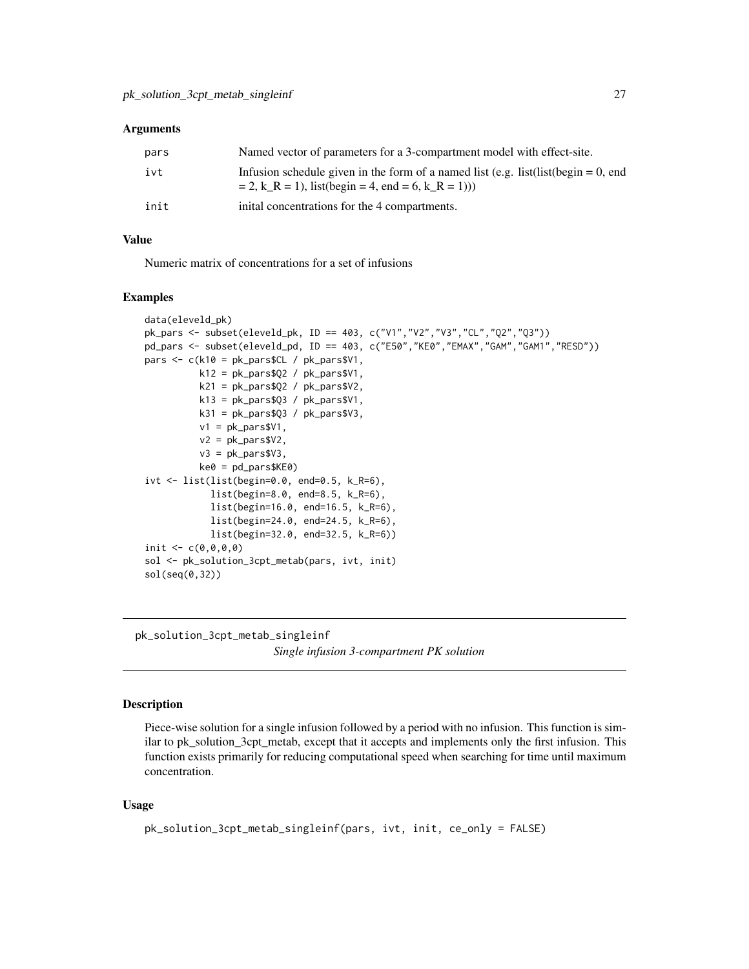#### <span id="page-26-0"></span>**Arguments**

| pars | Named vector of parameters for a 3-compartment model with effect-site.                                                                               |
|------|------------------------------------------------------------------------------------------------------------------------------------------------------|
| ivt  | Infusion schedule given in the form of a named list (e.g. list(list(begin = 0, end<br>$= 2, k_R = 1$ , list(begin = 4, end = 6, k <sub>R</sub> = 1)) |
| init | initial concentrations for the 4 compartments.                                                                                                       |

# Value

Numeric matrix of concentrations for a set of infusions

# Examples

```
data(eleveld_pk)
pk_pars <- subset(eleveld_pk, ID == 403, c("V1","V2","V3","CL","Q2","Q3"))
pd_pars <- subset(eleveld_pd, ID == 403, c("E50","KE0","EMAX","GAM","GAM1","RESD"))
pars <- c(k10 = pk_pars$CL / pk_pars$V1,
          k12 = pk_{pars}$Q2 / pk_{pars}$V1,
          k21 = pk_{pars}$Q2 / pk_{pars}$V2,
          k13 = pk_{pars}$Q3 / pk_{pars}$V1,
          k31 = pk_{pars}$03 / pk_{pars}$V3,
          v1 = pk_{pars}V1,
          v2 = pk_{pars}v2,
          v3 = pk_{pars}V3,
          ke0 = pd_pars$KE0)
ivt <- list(list(begin=0.0, end=0.5, k_R=6),
            list(begin=8.0, end=8.5, k_R=6),
            list(begin=16.0, end=16.5, k_R=6),
            list(begin=24.0, end=24.5, k_R=6),
            list(begin=32.0, end=32.5, k_R=6))
init <-c(0,0,0,0)sol <- pk_solution_3cpt_metab(pars, ivt, init)
sol(seq(0,32))
```
pk\_solution\_3cpt\_metab\_singleinf *Single infusion 3-compartment PK solution*

## Description

Piece-wise solution for a single infusion followed by a period with no infusion. This function is similar to pk\_solution\_3cpt\_metab, except that it accepts and implements only the first infusion. This function exists primarily for reducing computational speed when searching for time until maximum concentration.

## Usage

```
pk_solution_3cpt_metab_singleinf(pars, ivt, init, ce_only = FALSE)
```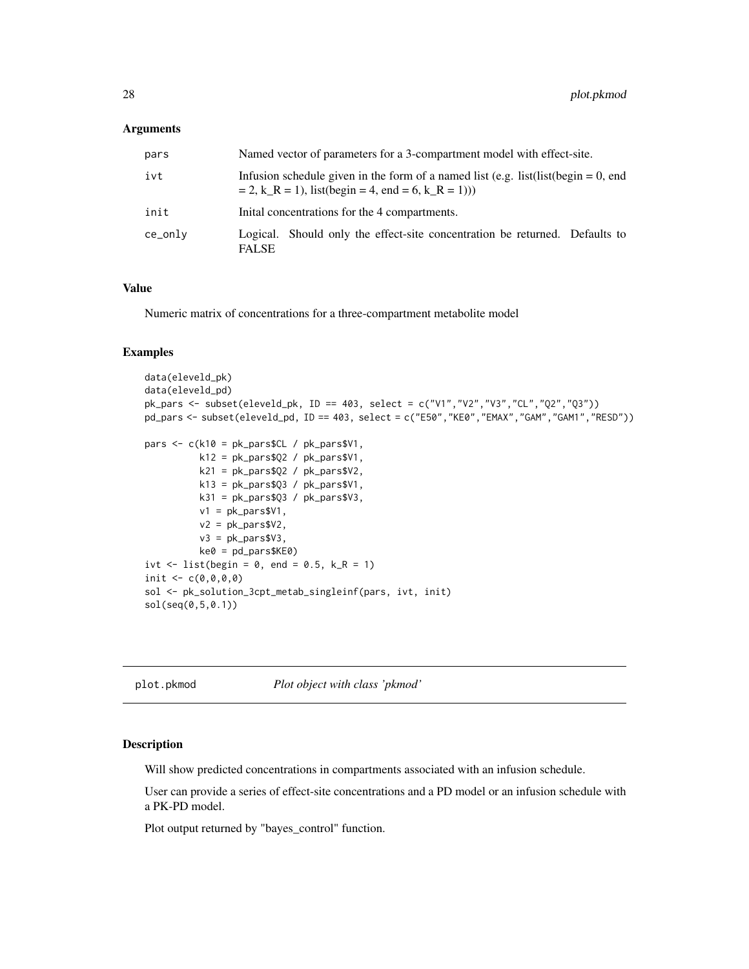## <span id="page-27-0"></span>**Arguments**

| pars    | Named vector of parameters for a 3-compartment model with effect-site.                                                                               |
|---------|------------------------------------------------------------------------------------------------------------------------------------------------------|
| ivt     | Infusion schedule given in the form of a named list (e.g. list(list(begin = 0, end<br>$= 2, k_R = 1$ , list(begin = 4, end = 6, k <sub>R</sub> = 1)) |
| init    | Initial concentrations for the 4 compartments.                                                                                                       |
| ce_onlv | Logical. Should only the effect-site concentration be returned. Defaults to<br><b>FALSE</b>                                                          |

## Value

Numeric matrix of concentrations for a three-compartment metabolite model

### Examples

```
data(eleveld_pk)
data(eleveld_pd)
pk_pars <- subset(eleveld_pk, ID == 403, select = c("V1","V2","V3","CL","Q2","Q3"))
pd_pars <- subset(eleveld_pd, ID == 403, select = c("E50","KE0","EMAX","GAM","GAM1","RESD"))
pars <- c(k10 = pk_pars$CL / pk_pars$V1,
          k12 = pk_pars$Q2 / pk_pars$V1,
          k21 = pk_{pars}$Q2 / pk_{pars}$V2,
          k13 = pk_pars$Q3 / pk_pars$V1,
          k31 = pk_pars$Q3 / pk_pars$V3,
          v1 = pk_pars$V1,
          v2 = pk_{pars}v2,
          v3 = pk_pars$V3,
          ke0 = pd_{parsKE0)ivt \le list(begin = 0, end = 0.5, k_R = 1)
init \leq c(0, 0, 0, 0)sol <- pk_solution_3cpt_metab_singleinf(pars, ivt, init)
sol(seq(0,5,0.1))
```
plot.pkmod *Plot object with class 'pkmod'*

#### Description

Will show predicted concentrations in compartments associated with an infusion schedule.

User can provide a series of effect-site concentrations and a PD model or an infusion schedule with a PK-PD model.

Plot output returned by "bayes\_control" function.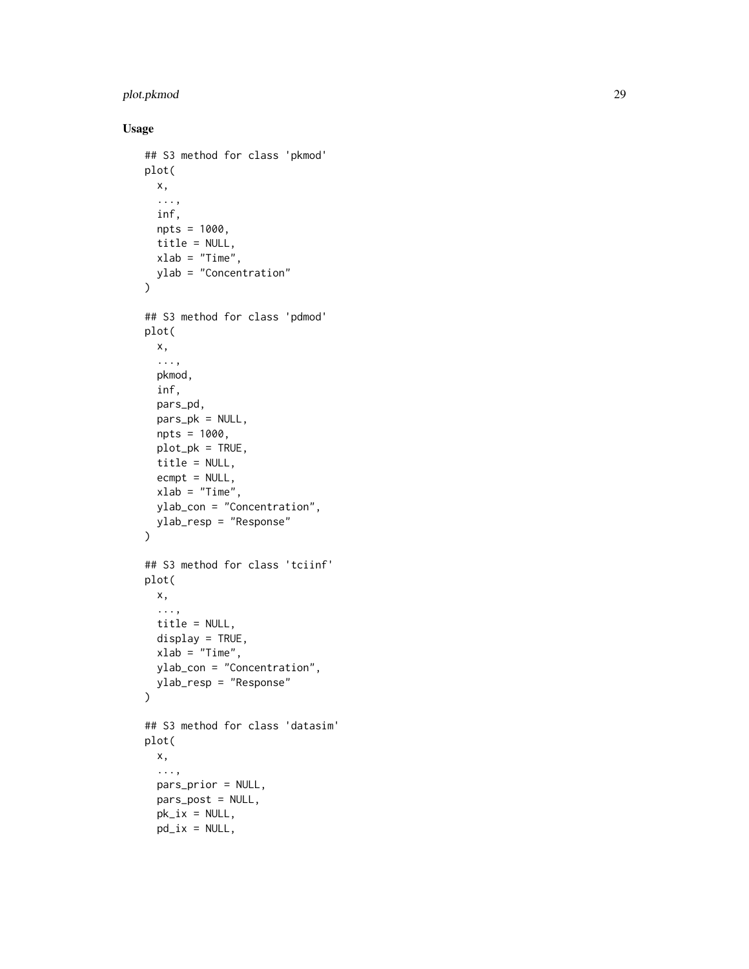# plot.pkmod 29

# Usage

```
## S3 method for class 'pkmod'
plot(
 x,
  ...,
 inf,
 npts = 1000,
 title = NULL,
 xlab = "Time",
 ylab = "Concentration"
\mathcal{L}## S3 method for class 'pdmod'
plot(
 x,
  ...,
 pkmod,
  inf,
 pars_pd,
 pars_pk = NULL,
 npts = 1000,
 plot_pk = TRUE,
 title = NULL,
  ecmpt = NULL,
 xlab = "Time",
 ylab_con = "Concentration",
 ylab_resp = "Response"
\mathcal{L}## S3 method for class 'tciinf'
plot(
 x,
  ...,
  title = NULL,
 display = TRUE,
 xlab = "Time",
 ylab_con = "Concentration",
 ylab_resp = "Response"
)
## S3 method for class 'datasim'
plot(
 x,
  ...,
 pars_prior = NULL,
 pars_post = NULL,
 pk\_ix = NULL,pd_ix = NULL,
```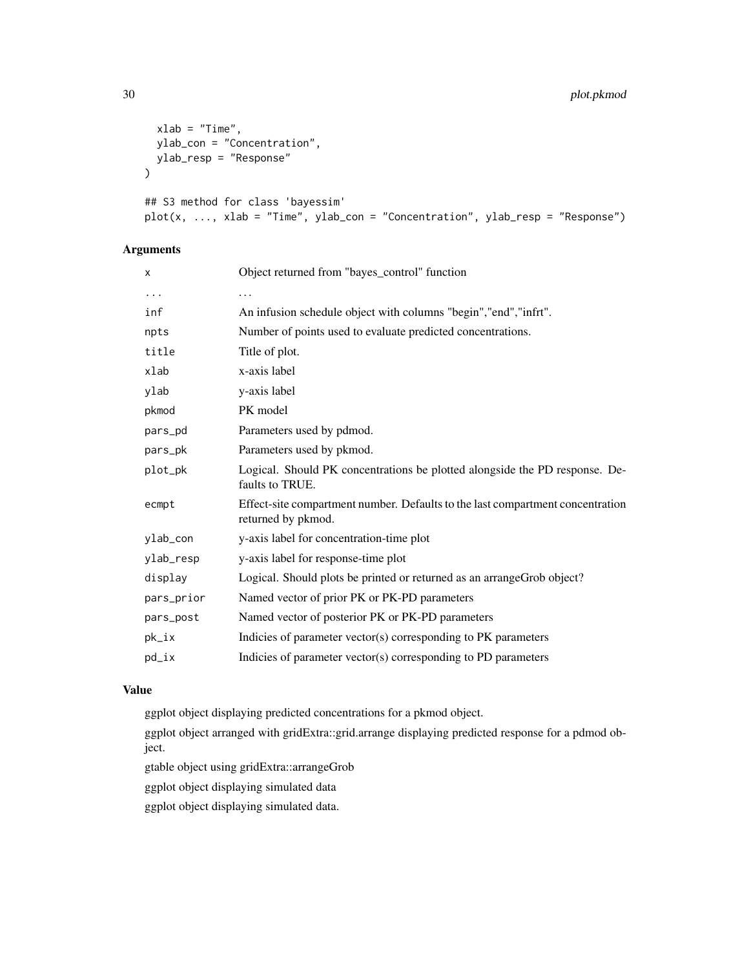```
xlab = "Time",
 ylab_con = "Concentration",
 ylab_resp = "Response"
\mathcal{L}## S3 method for class 'bayessim'
plot(x, ..., xlab = "Time", ylab\_con = "Concentration", ylab\_resp = "Response")
```
# Arguments

| X          | Object returned from "bayes_control" function                                                        |
|------------|------------------------------------------------------------------------------------------------------|
| .          | .                                                                                                    |
| inf        | An infusion schedule object with columns "begin", "end", "infrt".                                    |
| npts       | Number of points used to evaluate predicted concentrations.                                          |
| title      | Title of plot.                                                                                       |
| xlab       | x-axis label                                                                                         |
| ylab       | y-axis label                                                                                         |
| pkmod      | PK model                                                                                             |
| pars_pd    | Parameters used by pdmod.                                                                            |
| pars_pk    | Parameters used by pkmod.                                                                            |
| plot_pk    | Logical. Should PK concentrations be plotted alongside the PD response. De-<br>faults to TRUE.       |
| ecmpt      | Effect-site compartment number. Defaults to the last compartment concentration<br>returned by pkmod. |
| ylab_con   | y-axis label for concentration-time plot                                                             |
| ylab_resp  | y-axis label for response-time plot                                                                  |
| display    | Logical. Should plots be printed or returned as an arrangeGrob object?                               |
| pars_prior | Named vector of prior PK or PK-PD parameters                                                         |
| pars_post  | Named vector of posterior PK or PK-PD parameters                                                     |
| pk_ix      | Indicies of parameter vector(s) corresponding to PK parameters                                       |
| pd_ix      | Indicies of parameter vector(s) corresponding to PD parameters                                       |
|            |                                                                                                      |

# Value

ggplot object displaying predicted concentrations for a pkmod object.

ggplot object arranged with gridExtra::grid.arrange displaying predicted response for a pdmod object.

gtable object using gridExtra::arrangeGrob

ggplot object displaying simulated data

ggplot object displaying simulated data.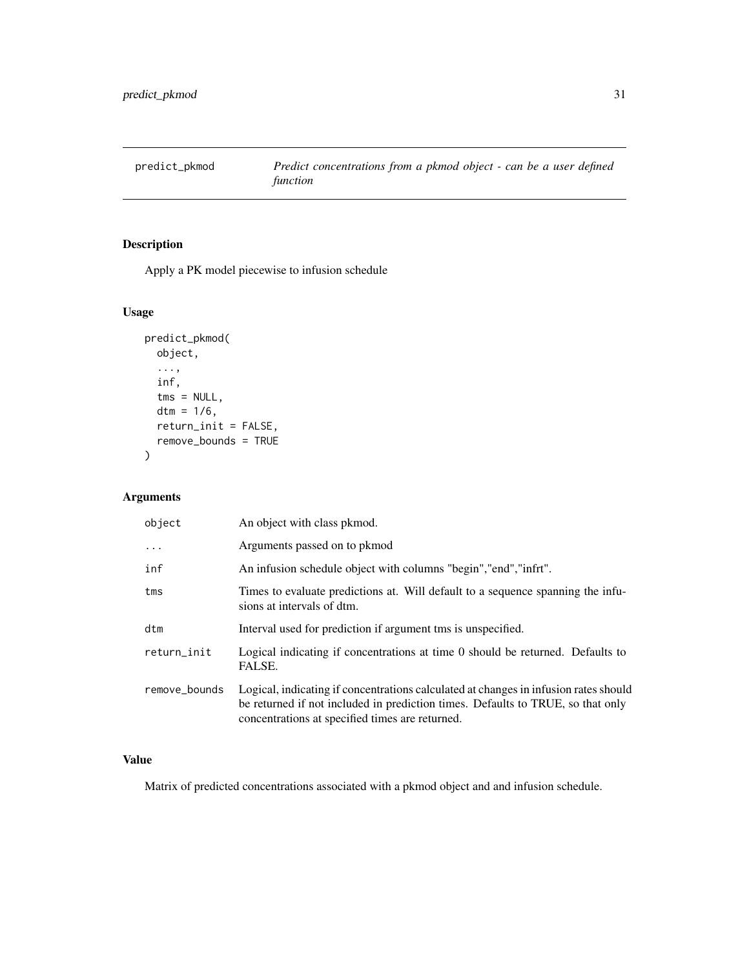<span id="page-30-0"></span>predict\_pkmod *Predict concentrations from a pkmod object - can be a user defined function*

# Description

Apply a PK model piecewise to infusion schedule

# Usage

```
predict_pkmod(
 object,
  ...,
 inf,
  tms = NULL,
 dtm = 1/6,
 return_init = FALSE,
  remove_bounds = TRUE
)
```
# Arguments

| object        | An object with class pkmod.                                                                                                                                                                                                |
|---------------|----------------------------------------------------------------------------------------------------------------------------------------------------------------------------------------------------------------------------|
| $\ddots$ .    | Arguments passed on to pkmod                                                                                                                                                                                               |
| inf           | An infusion schedule object with columns "begin", "end", "infrt".                                                                                                                                                          |
| tms           | Times to evaluate predictions at. Will default to a sequence spanning the infu-<br>sions at intervals of dtm.                                                                                                              |
| dtm           | Interval used for prediction if argument tms is unspecified.                                                                                                                                                               |
| return_init   | Logical indicating if concentrations at time 0 should be returned. Defaults to<br>FALSE.                                                                                                                                   |
| remove_bounds | Logical, indicating if concentrations calculated at changes in infusion rates should<br>be returned if not included in prediction times. Defaults to TRUE, so that only<br>concentrations at specified times are returned. |

# Value

Matrix of predicted concentrations associated with a pkmod object and and infusion schedule.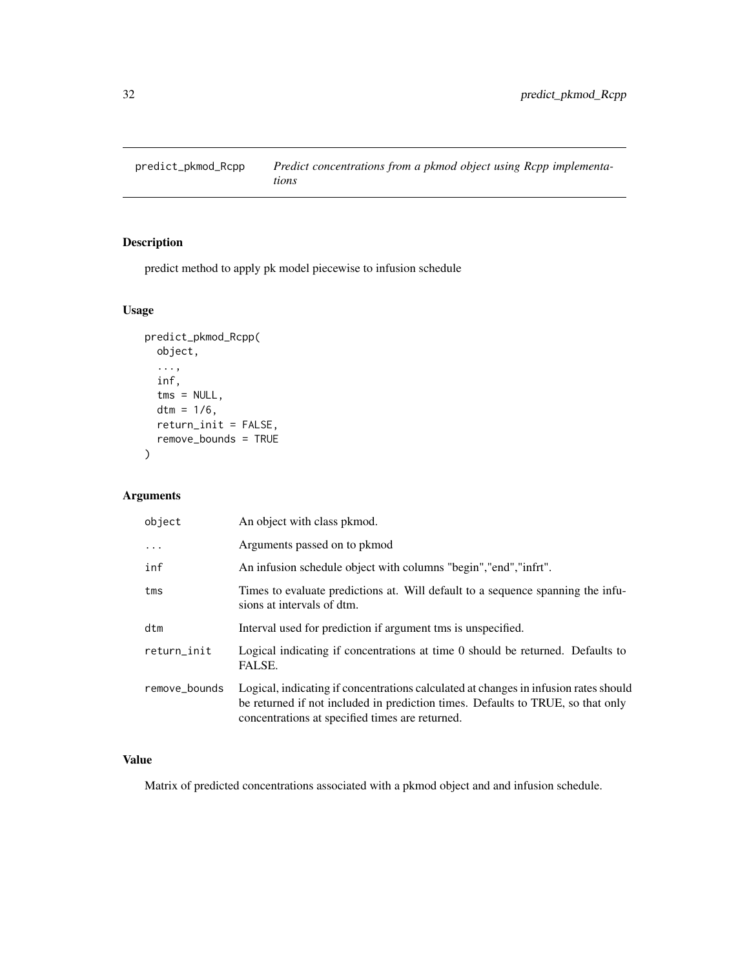<span id="page-31-0"></span>predict\_pkmod\_Rcpp *Predict concentrations from a pkmod object using Rcpp implementations*

# Description

predict method to apply pk model piecewise to infusion schedule

# Usage

```
predict_pkmod_Rcpp(
 object,
  ...,
  inf,
  tms = NULL,
  dtm = 1/6,
  return_init = FALSE,
  remove_bounds = TRUE
)
```
# Arguments

| object        | An object with class pkmod.                                                                                                                                                                                                |
|---------------|----------------------------------------------------------------------------------------------------------------------------------------------------------------------------------------------------------------------------|
| $\ddotsc$     | Arguments passed on to pkmod                                                                                                                                                                                               |
| inf           | An infusion schedule object with columns "begin", "end", "infrt".                                                                                                                                                          |
| tms           | Times to evaluate predictions at. Will default to a sequence spanning the infu-<br>sions at intervals of dtm.                                                                                                              |
| dtm           | Interval used for prediction if argument tms is unspecified.                                                                                                                                                               |
| return_init   | Logical indicating if concentrations at time 0 should be returned. Defaults to<br>FALSE.                                                                                                                                   |
| remove_bounds | Logical, indicating if concentrations calculated at changes in infusion rates should<br>be returned if not included in prediction times. Defaults to TRUE, so that only<br>concentrations at specified times are returned. |

# Value

Matrix of predicted concentrations associated with a pkmod object and and infusion schedule.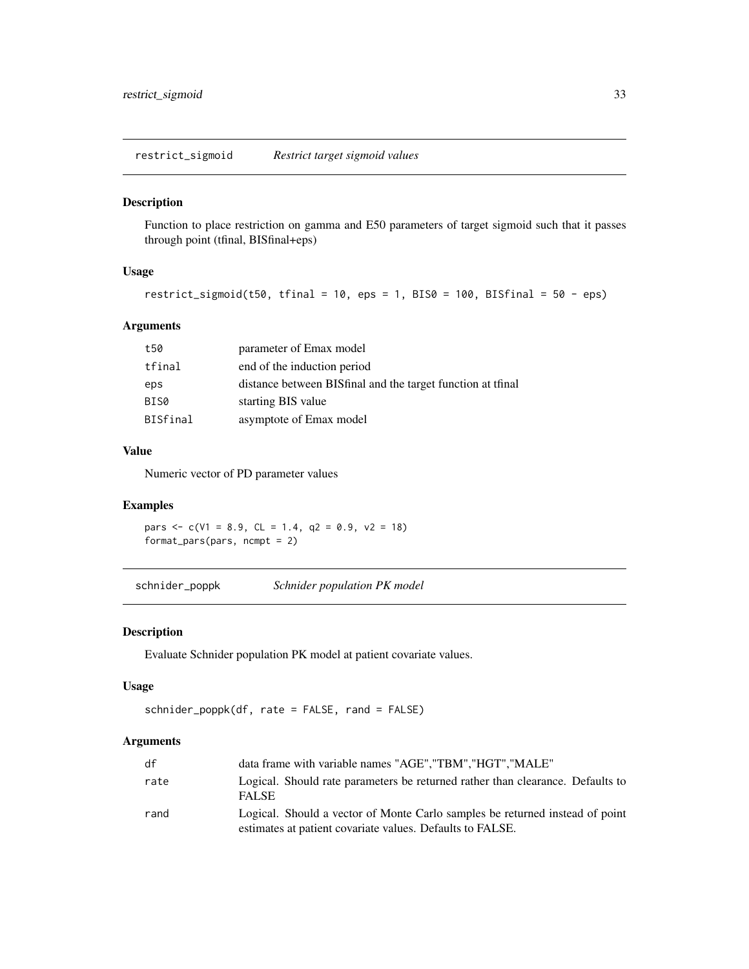<span id="page-32-0"></span>restrict\_sigmoid *Restrict target sigmoid values*

## Description

Function to place restriction on gamma and E50 parameters of target sigmoid such that it passes through point (tfinal, BISfinal+eps)

# Usage

restrict\_sigmoid(t50, tfinal = 10, eps = 1, BIS0 = 100, BISfinal = 50 - eps)

# Arguments

| t50      | parameter of Emax model                                     |
|----------|-------------------------------------------------------------|
| tfinal   | end of the induction period                                 |
| eps      | distance between BISfinal and the target function at trinal |
| BIS0     | starting BIS value                                          |
| BISfinal | asymptote of Emax model                                     |

# Value

Numeric vector of PD parameter values

## Examples

pars  $\leq$  c(V1 = 8.9, CL = 1.4, q2 = 0.9, v2 = 18) format\_pars(pars, ncmpt = 2)

schnider\_poppk *Schnider population PK model*

# Description

Evaluate Schnider population PK model at patient covariate values.

## Usage

```
schnider_poppk(df, rate = FALSE, rand = FALSE)
```

| df   | data frame with variable names "AGE", "TBM", "HGT", "MALE"                                                                                |
|------|-------------------------------------------------------------------------------------------------------------------------------------------|
| rate | Logical. Should rate parameters be returned rather than clearance. Defaults to<br><b>FALSE</b>                                            |
| rand | Logical. Should a vector of Monte Carlo samples be returned instead of point<br>estimates at patient covariate values. Defaults to FALSE. |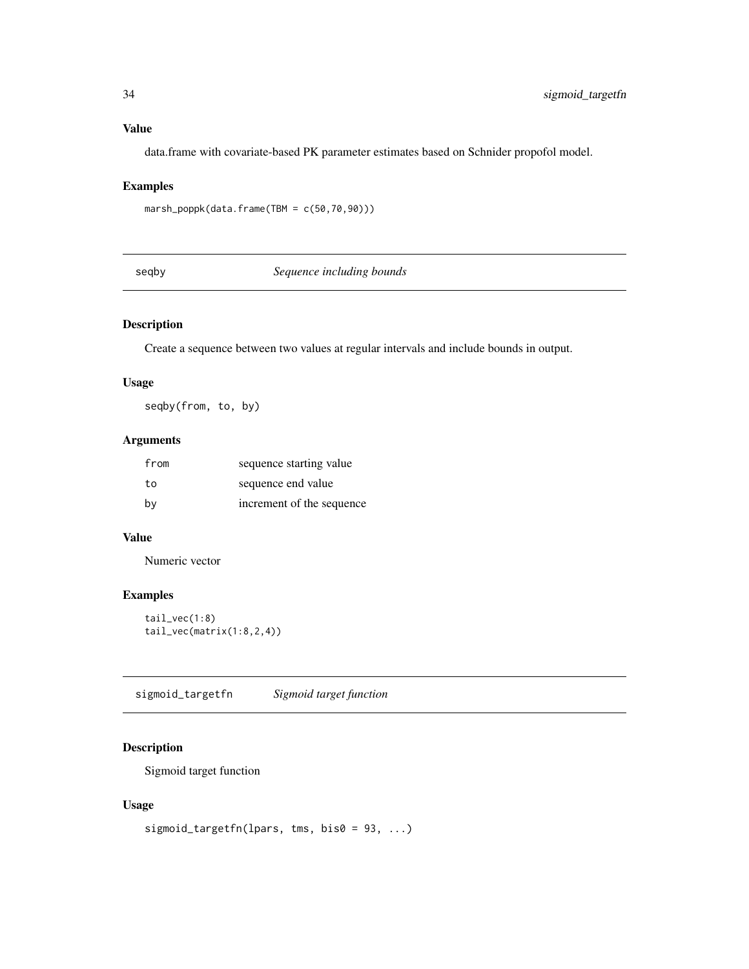# <span id="page-33-0"></span>Value

data.frame with covariate-based PK parameter estimates based on Schnider propofol model.

# Examples

marsh\_poppk(data.frame(TBM = c(50,70,90)))

seqby *Sequence including bounds*

# Description

Create a sequence between two values at regular intervals and include bounds in output.

# Usage

seqby(from, to, by)

## Arguments

| from | sequence starting value   |
|------|---------------------------|
| to   | sequence end value        |
| by   | increment of the sequence |

# Value

Numeric vector

# Examples

tail\_vec(1:8) tail\_vec(matrix(1:8,2,4))

sigmoid\_targetfn *Sigmoid target function*

# Description

Sigmoid target function

# Usage

```
sigmoid_targetfn(lpars, tms, bis0 = 93, ...)
```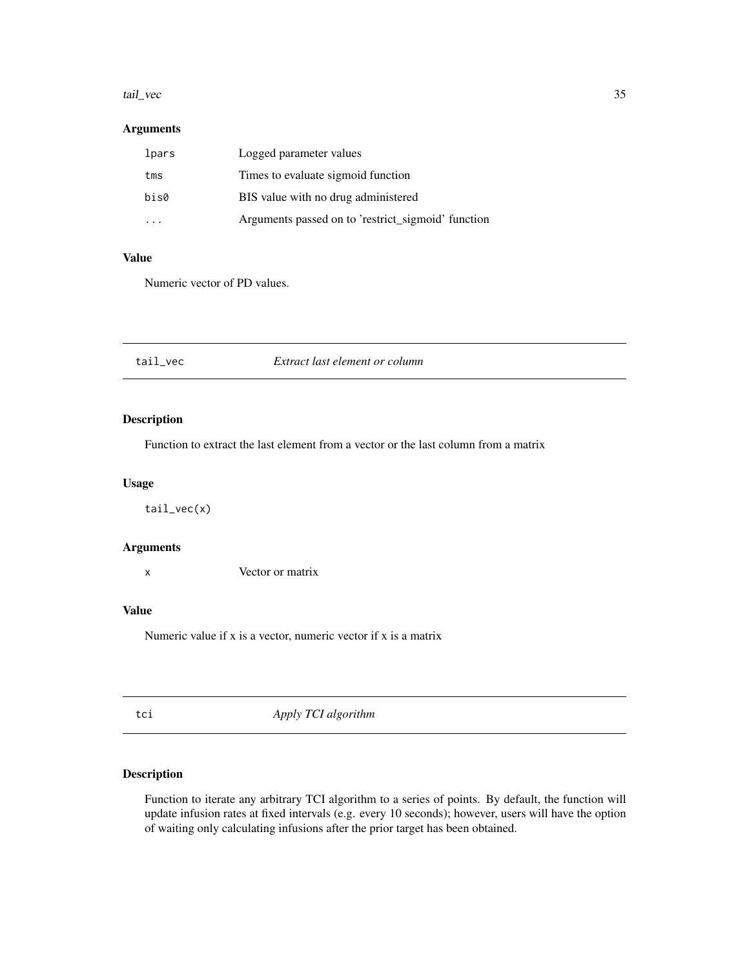#### <span id="page-34-0"></span>tail\_vec 35

# Arguments

| lpars | Logged parameter values                            |
|-------|----------------------------------------------------|
| tms   | Times to evaluate sigmoid function                 |
| bis0  | BIS value with no drug administered                |
|       | Arguments passed on to 'restrict_sigmoid' function |

# Value

Numeric vector of PD values.

# tail\_vec *Extract last element or column*

# Description

Function to extract the last element from a vector or the last column from a matrix

# Usage

tail\_vec(x)

# Arguments

x Vector or matrix

#### Value

Numeric value if x is a vector, numeric vector if x is a matrix

tci *Apply TCI algorithm*

# Description

Function to iterate any arbitrary TCI algorithm to a series of points. By default, the function will update infusion rates at fixed intervals (e.g. every 10 seconds); however, users will have the option of waiting only calculating infusions after the prior target has been obtained.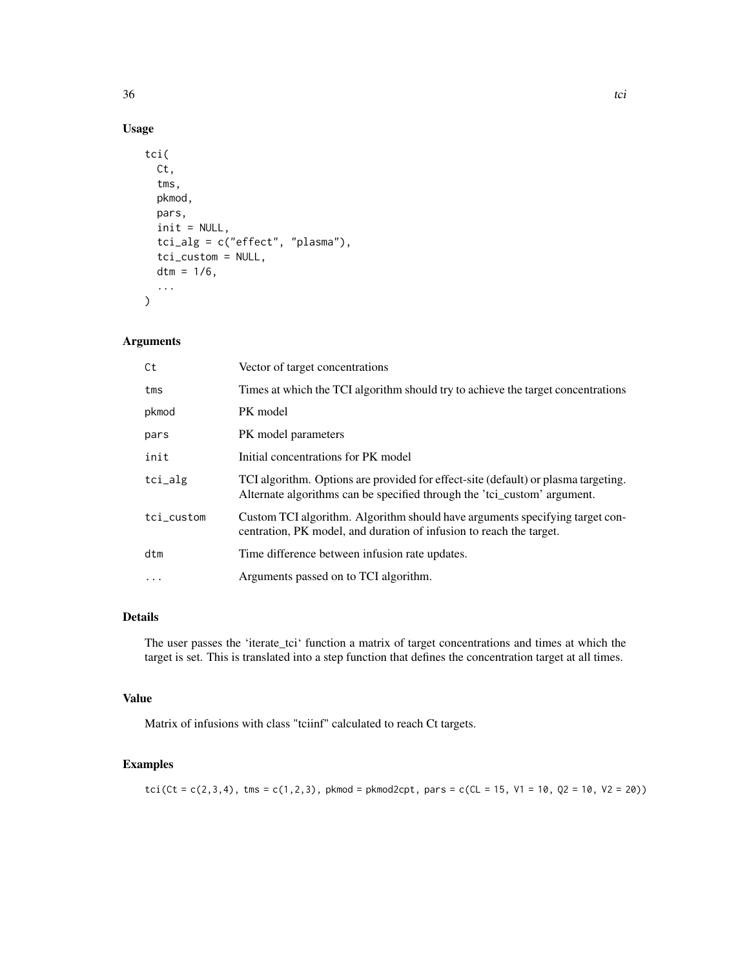# Usage

```
tci(
 Ct,
  tms,
 pkmod,
 pars,
  init = NULL,
  tci_alg = c("effect", "plasma"),
  tci_custom = NULL,
 dtm = 1/6,
  ...
)
```
# Arguments

| Ct         | Vector of target concentrations                                                                                                                                |
|------------|----------------------------------------------------------------------------------------------------------------------------------------------------------------|
| tms        | Times at which the TCI algorithm should try to achieve the target concentrations                                                                               |
| pkmod      | PK model                                                                                                                                                       |
| pars       | PK model parameters                                                                                                                                            |
| init       | Initial concentrations for PK model                                                                                                                            |
| tci_alg    | TCI algorithm. Options are provided for effect-site (default) or plasma targeting.<br>Alternate algorithms can be specified through the 'tci_custom' argument. |
| tci_custom | Custom TCI algorithm. Algorithm should have arguments specifying target con-<br>centration, PK model, and duration of infusion to reach the target.            |
| dtm        | Time difference between infusion rate updates.                                                                                                                 |
| $\cdots$   | Arguments passed on to TCI algorithm.                                                                                                                          |

# Details

The user passes the 'iterate\_tci' function a matrix of target concentrations and times at which the target is set. This is translated into a step function that defines the concentration target at all times.

## Value

Matrix of infusions with class "tciinf" calculated to reach Ct targets.

## Examples

tci(Ct = c(2,3,4), tms = c(1,2,3), pkmod = pkmod2cpt, pars = c(CL = 15, V1 = 10, Q2 = 10, V2 = 20))

 $36$  tci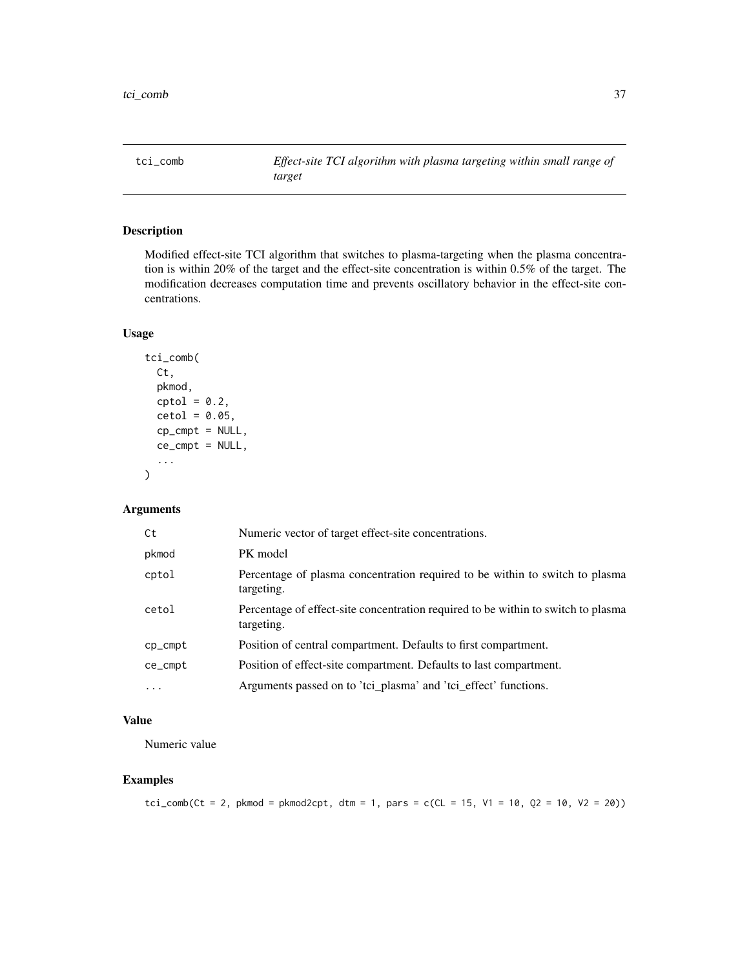<span id="page-36-0"></span>tci\_comb *Effect-site TCI algorithm with plasma targeting within small range of target*

# Description

Modified effect-site TCI algorithm that switches to plasma-targeting when the plasma concentration is within 20% of the target and the effect-site concentration is within 0.5% of the target. The modification decreases computation time and prevents oscillatory behavior in the effect-site concentrations.

## Usage

```
tci_comb(
  Ct,
  pkmod,
  \text{cptol} = 0.2,
  ctol = 0.05,cp\_cmpt = NULL,ce\_cmpt = NULL,...
)
```
#### Arguments

| Ct        | Numeric vector of target effect-site concentrations.                                            |
|-----------|-------------------------------------------------------------------------------------------------|
| pkmod     | PK model                                                                                        |
| cptol     | Percentage of plasma concentration required to be within to switch to plasma<br>targeting.      |
| cetol     | Percentage of effect-site concentration required to be within to switch to plasma<br>targeting. |
| $cp\_cmp$ | Position of central compartment. Defaults to first compartment.                                 |
| ce_cmpt   | Position of effect-site compartment. Defaults to last compartment.                              |
| $\cdots$  | Arguments passed on to 'tci_plasma' and 'tci_effect' functions.                                 |

# Value

Numeric value

# Examples

 $tci\_comb(Ct = 2, pkmod = pkmod2cpt, dtm = 1, pars = c(CL = 15, V1 = 10, Q2 = 10, V2 = 20))$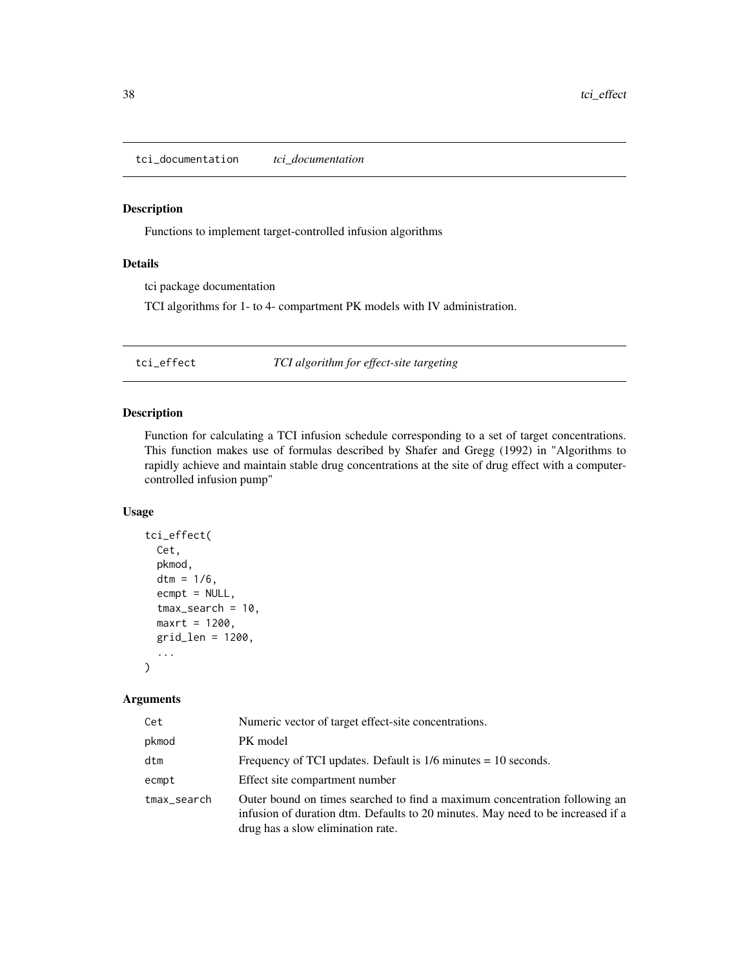<span id="page-37-0"></span>tci\_documentation *tci\_documentation*

# Description

Functions to implement target-controlled infusion algorithms

## Details

tci package documentation

TCI algorithms for 1- to 4- compartment PK models with IV administration.

tci\_effect *TCI algorithm for effect-site targeting*

### Description

Function for calculating a TCI infusion schedule corresponding to a set of target concentrations. This function makes use of formulas described by Shafer and Gregg (1992) in "Algorithms to rapidly achieve and maintain stable drug concentrations at the site of drug effect with a computercontrolled infusion pump"

# Usage

```
tci_effect(
  Cet,
  pkmod,
  dtm = 1/6,
  ecmpt = NULL,
  tmax_search = 10,
 maxrt = 1200,
  grid_len = 1200,
  ...
\mathcal{L}
```

| Cet         | Numeric vector of target effect-site concentrations.                                                                                                                                               |
|-------------|----------------------------------------------------------------------------------------------------------------------------------------------------------------------------------------------------|
| pkmod       | PK model                                                                                                                                                                                           |
| dtm         | Frequency of TCI updates. Default is $1/6$ minutes = 10 seconds.                                                                                                                                   |
| ecmpt       | Effect site compartment number                                                                                                                                                                     |
| tmax_search | Outer bound on times searched to find a maximum concentration following an<br>infusion of duration dtm. Defaults to 20 minutes. May need to be increased if a<br>drug has a slow elimination rate. |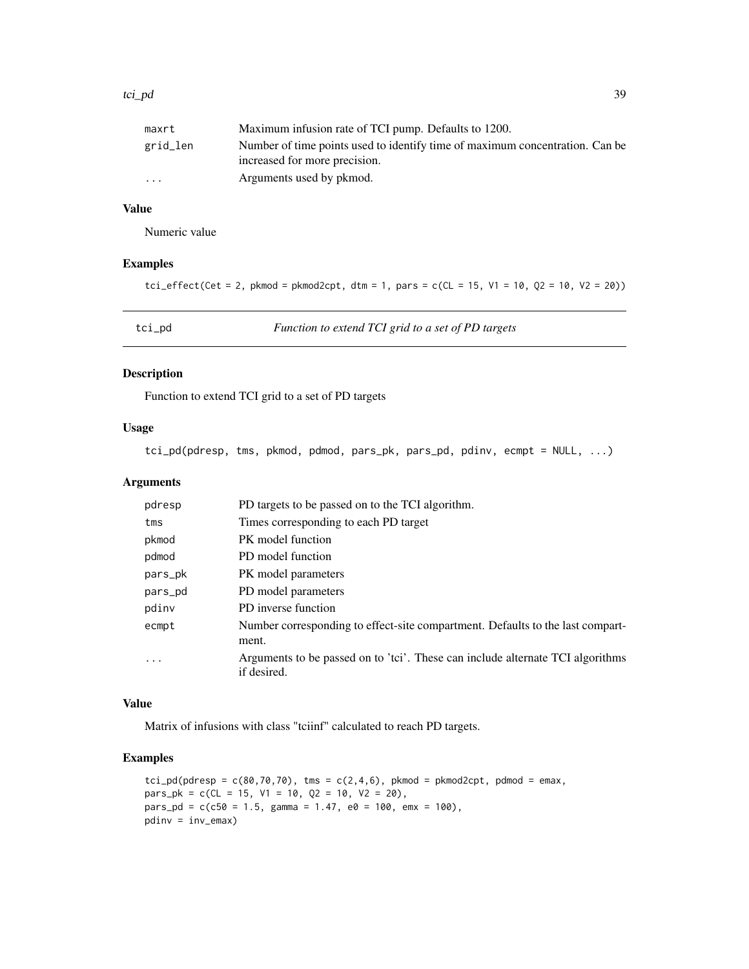#### <span id="page-38-0"></span>tci\_pd 39

| maxrt                   | Maximum infusion rate of TCI pump. Defaults to 1200.                                                          |
|-------------------------|---------------------------------------------------------------------------------------------------------------|
| grid_len                | Number of time points used to identify time of maximum concentration. Can be<br>increased for more precision. |
| $\cdot$ $\cdot$ $\cdot$ | Arguments used by pkmod.                                                                                      |

# Value

Numeric value

# Examples

```
tci_effect(Cet = 2, pkmod = pkmod2cpt, dtm = 1, pars = c(CL = 15, V1 = 10, Q2 = 10, V2 = 20))
```
tci\_pd *Function to extend TCI grid to a set of PD targets*

## Description

Function to extend TCI grid to a set of PD targets

# Usage

tci\_pd(pdresp, tms, pkmod, pdmod, pars\_pk, pars\_pd, pdinv, ecmpt = NULL, ...)

# Arguments

| PD targets to be passed on to the TCI algorithm.                                              |
|-----------------------------------------------------------------------------------------------|
| Times corresponding to each PD target                                                         |
| PK model function                                                                             |
| PD model function                                                                             |
| PK model parameters                                                                           |
| PD model parameters                                                                           |
| PD inverse function                                                                           |
| Number corresponding to effect-site compartment. Defaults to the last compart-<br>ment.       |
| Arguments to be passed on to 'tci'. These can include alternate TCI algorithms<br>if desired. |
|                                                                                               |

## Value

Matrix of infusions with class "tciinf" calculated to reach PD targets.

# Examples

```
\text{tci\_pd(pdresp = } c(80, 70, 70), \text{tms = } c(2, 4, 6), \text{pkmod = } pkmod2cpt, pdmod = emax,
pars\_pk = c(CL = 15, V1 = 10, Q2 = 10, V2 = 20),pars\_pd = c(c50 = 1.5, gamma = 1.47, e0 = 100, emx = 100),pdinv = inv_emax)
```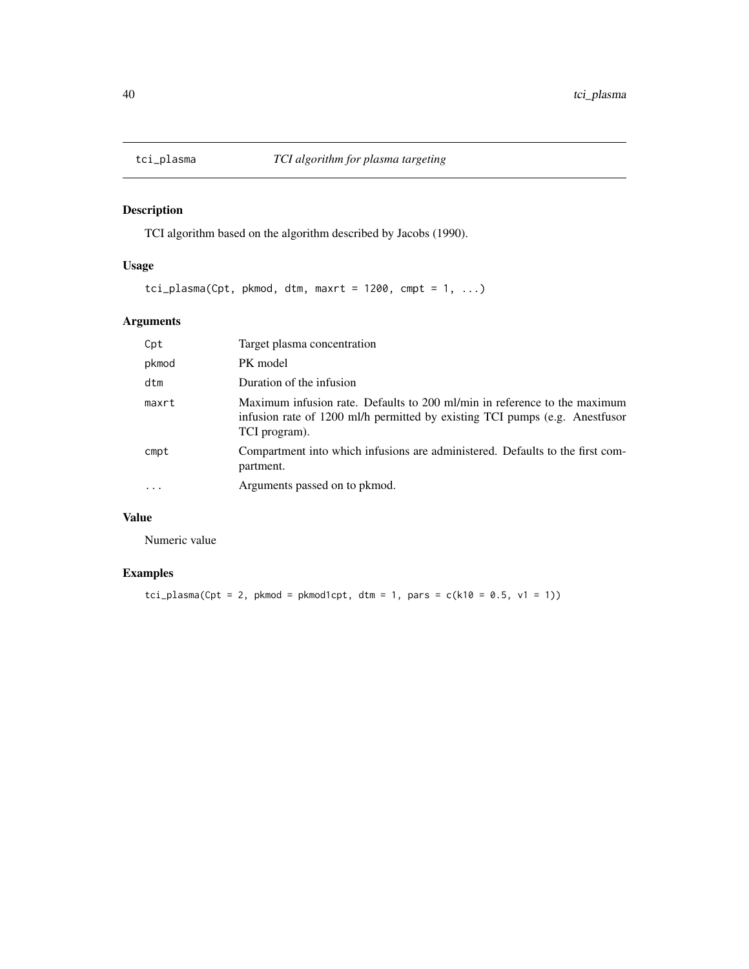<span id="page-39-0"></span>

TCI algorithm based on the algorithm described by Jacobs (1990).

# Usage

tci\_plasma(Cpt, pkmod, dtm, maxrt = 1200, cmpt = 1, ...)

# Arguments

| Cpt            | Target plasma concentration                                                                                                                                               |
|----------------|---------------------------------------------------------------------------------------------------------------------------------------------------------------------------|
| pkmod          | PK model                                                                                                                                                                  |
| dtm            | Duration of the infusion                                                                                                                                                  |
| maxrt          | Maximum infusion rate. Defaults to 200 ml/min in reference to the maximum<br>infusion rate of 1200 ml/h permitted by existing TCI pumps (e.g. Anestfusor<br>TCI program). |
| $\mathsf{cmp}$ | Compartment into which infusions are administered. Defaults to the first com-<br>partment.                                                                                |
| $\cdots$       | Arguments passed on to pkmod.                                                                                                                                             |

# Value

Numeric value

# Examples

tci\_plasma(Cpt = 2, pkmod = pkmod1cpt, dtm = 1, pars =  $c(k10 = 0.5, v1 = 1)$ )